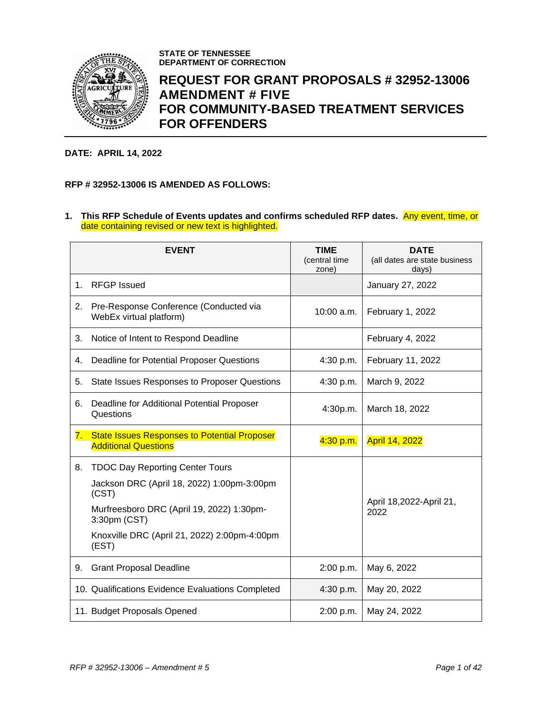

**STATE OF TENNESSEE DEPARTMENT OF CORRECTION**

# **REQUEST FOR GRANT PROPOSALS # 32952-13006 AMENDMENT # FIVE FOR COMMUNITY-BASED TREATMENT SERVICES FOR OFFENDERS**

#### **DATE: APRIL 14, 2022**

## **RFP # 32952-13006 IS AMENDED AS FOLLOWS:**

#### **1. This RFP Schedule of Events updates and confirms scheduled RFP dates.** Any event, time, or date containing revised or new text is highlighted.

|    | <b>EVENT</b>                                                                       | <b>TIME</b><br>(central time<br>zone) | <b>DATE</b><br>(all dates are state business<br>days) |
|----|------------------------------------------------------------------------------------|---------------------------------------|-------------------------------------------------------|
| 1. | <b>RFGP Issued</b>                                                                 |                                       | January 27, 2022                                      |
| 2. | Pre-Response Conference (Conducted via<br>WebEx virtual platform)                  | 10:00 a.m.                            | February 1, 2022                                      |
| 3. | Notice of Intent to Respond Deadline                                               |                                       | February 4, 2022                                      |
| 4. | Deadline for Potential Proposer Questions                                          | 4:30 p.m.                             | February 11, 2022                                     |
| 5. | State Issues Responses to Proposer Questions                                       | 4:30 p.m.                             | March 9, 2022                                         |
| 6. | Deadline for Additional Potential Proposer<br>Questions                            | 4:30p.m.                              | March 18, 2022                                        |
| 7. | <b>State Issues Responses to Potential Proposer</b><br><b>Additional Questions</b> | 4:30 p.m.                             | <b>April 14, 2022</b>                                 |
| 8. | <b>TDOC Day Reporting Center Tours</b>                                             |                                       |                                                       |
|    | Jackson DRC (April 18, 2022) 1:00pm-3:00pm<br>(CST)                                |                                       |                                                       |
|    | Murfreesboro DRC (April 19, 2022) 1:30pm-<br>3:30pm (CST)                          |                                       | April 18,2022-April 21,<br>2022                       |
|    | Knoxville DRC (April 21, 2022) 2:00pm-4:00pm<br>(EST)                              |                                       |                                                       |
| 9. | <b>Grant Proposal Deadline</b>                                                     | 2:00 p.m.                             | May 6, 2022                                           |
|    | 10. Qualifications Evidence Evaluations Completed                                  | 4:30 p.m.                             | May 20, 2022                                          |
|    | 11. Budget Proposals Opened                                                        | 2:00 p.m.                             | May 24, 2022                                          |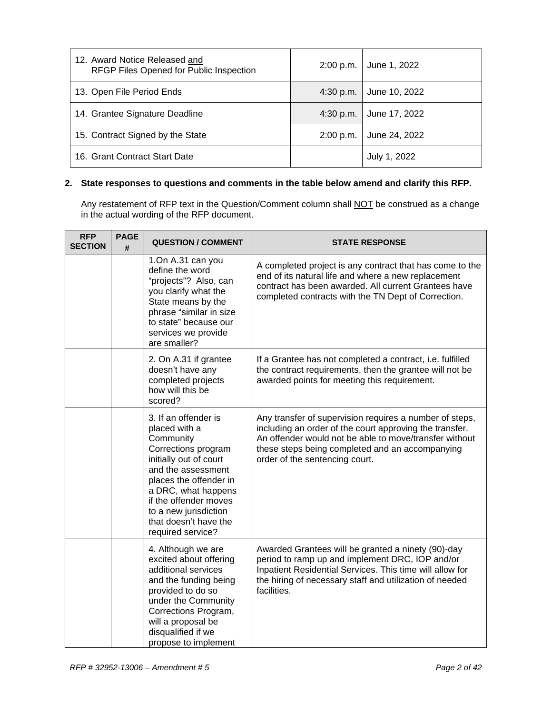| 12. Award Notice Released and<br>RFGP Files Opened for Public Inspection | 2:00 p.m.   | June 1, 2022  |
|--------------------------------------------------------------------------|-------------|---------------|
| 13. Open File Period Ends                                                | 4:30 p.m.   | June 10, 2022 |
| 14. Grantee Signature Deadline                                           | $4:30$ p.m. | June 17, 2022 |
| 15. Contract Signed by the State                                         | 2:00 p.m.   | June 24, 2022 |
| 16. Grant Contract Start Date                                            |             | July 1, 2022  |

### **2. State responses to questions and comments in the table below amend and clarify this RFP.**

Any restatement of RFP text in the Question/Comment column shall NOT be construed as a change in the actual wording of the RFP document.

| <b>RFP</b><br><b>SECTION</b> | <b>PAGE</b><br># | <b>QUESTION / COMMENT</b>                                                                                                                                                                                                                                                  | <b>STATE RESPONSE</b>                                                                                                                                                                                                                                             |
|------------------------------|------------------|----------------------------------------------------------------------------------------------------------------------------------------------------------------------------------------------------------------------------------------------------------------------------|-------------------------------------------------------------------------------------------------------------------------------------------------------------------------------------------------------------------------------------------------------------------|
|                              |                  | 1.On A.31 can you<br>define the word<br>"projects"? Also, can<br>you clarify what the<br>State means by the<br>phrase "similar in size<br>to state" because our<br>services we provide<br>are smaller?                                                                     | A completed project is any contract that has come to the<br>end of its natural life and where a new replacement<br>contract has been awarded. All current Grantees have<br>completed contracts with the TN Dept of Correction.                                    |
|                              |                  | 2. On A.31 if grantee<br>doesn't have any<br>completed projects<br>how will this be<br>scored?                                                                                                                                                                             | If a Grantee has not completed a contract, i.e. fulfilled<br>the contract requirements, then the grantee will not be<br>awarded points for meeting this requirement.                                                                                              |
|                              |                  | 3. If an offender is<br>placed with a<br>Community<br>Corrections program<br>initially out of court<br>and the assessment<br>places the offender in<br>a DRC, what happens<br>if the offender moves<br>to a new jurisdiction<br>that doesn't have the<br>required service? | Any transfer of supervision requires a number of steps,<br>including an order of the court approving the transfer.<br>An offender would not be able to move/transfer without<br>these steps being completed and an accompanying<br>order of the sentencing court. |
|                              |                  | 4. Although we are<br>excited about offering<br>additional services<br>and the funding being<br>provided to do so<br>under the Community<br>Corrections Program,<br>will a proposal be<br>disqualified if we<br>propose to implement                                       | Awarded Grantees will be granted a ninety (90)-day<br>period to ramp up and implement DRC, IOP and/or<br>Inpatient Residential Services. This time will allow for<br>the hiring of necessary staff and utilization of needed<br>facilities.                       |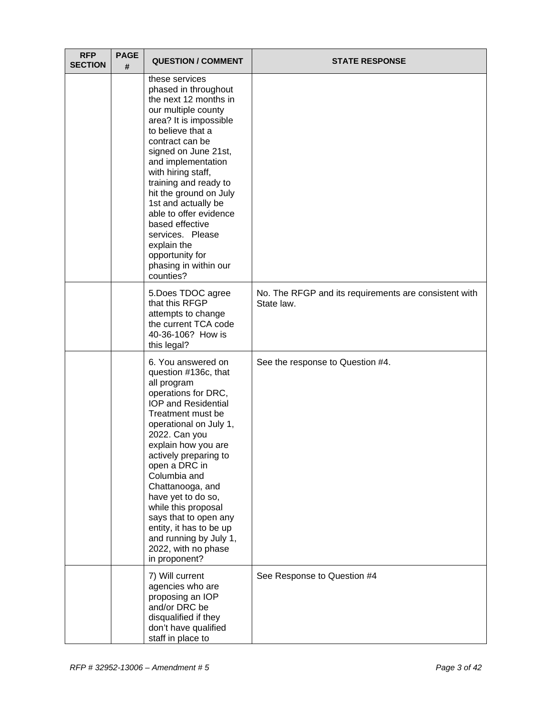| <b>RFP</b><br><b>SECTION</b> | <b>PAGE</b><br># | <b>QUESTION / COMMENT</b>                                                                                                                                                                                                                                                                                                                                                                                                                              | <b>STATE RESPONSE</b>                                               |
|------------------------------|------------------|--------------------------------------------------------------------------------------------------------------------------------------------------------------------------------------------------------------------------------------------------------------------------------------------------------------------------------------------------------------------------------------------------------------------------------------------------------|---------------------------------------------------------------------|
|                              |                  | these services<br>phased in throughout<br>the next 12 months in<br>our multiple county<br>area? It is impossible<br>to believe that a<br>contract can be<br>signed on June 21st,<br>and implementation<br>with hiring staff,<br>training and ready to<br>hit the ground on July<br>1st and actually be<br>able to offer evidence<br>based effective<br>services. Please<br>explain the<br>opportunity for<br>phasing in within our<br>counties?        |                                                                     |
|                              |                  | 5.Does TDOC agree<br>that this RFGP<br>attempts to change<br>the current TCA code<br>40-36-106? How is<br>this legal?                                                                                                                                                                                                                                                                                                                                  | No. The RFGP and its requirements are consistent with<br>State law. |
|                              |                  | 6. You answered on<br>question #136c, that<br>all program<br>operations for DRC,<br><b>IOP and Residential</b><br>Treatment must be<br>operational on July 1,<br>2022. Can you<br>explain how you are<br>actively preparing to<br>open a DRC in<br>Columbia and<br>Chattanooga, and<br>have yet to do so,<br>while this proposal<br>says that to open any<br>entity, it has to be up<br>and running by July 1,<br>2022, with no phase<br>in proponent? | See the response to Question #4.                                    |
|                              |                  | 7) Will current<br>agencies who are<br>proposing an IOP<br>and/or DRC be<br>disqualified if they<br>don't have qualified<br>staff in place to                                                                                                                                                                                                                                                                                                          | See Response to Question #4                                         |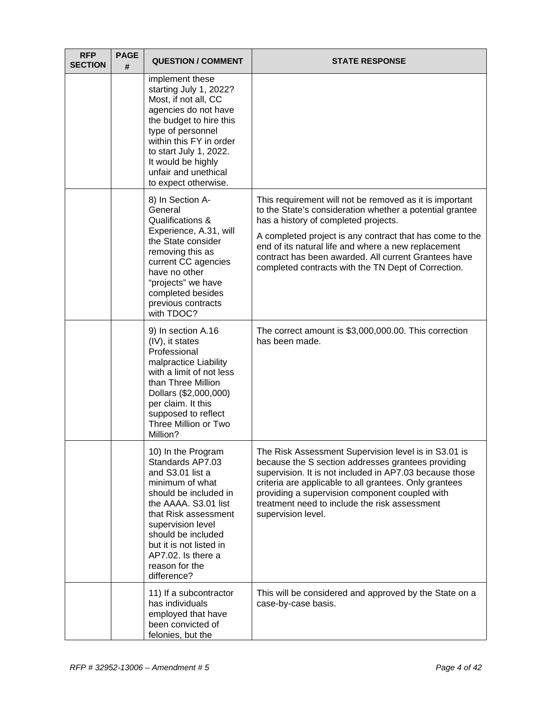| <b>RFP</b><br><b>SECTION</b> | <b>PAGE</b><br># | <b>QUESTION / COMMENT</b>                                                                                                                                                                                                                                                           | <b>STATE RESPONSE</b>                                                                                                                                                                                                                                                                                                                                                                         |
|------------------------------|------------------|-------------------------------------------------------------------------------------------------------------------------------------------------------------------------------------------------------------------------------------------------------------------------------------|-----------------------------------------------------------------------------------------------------------------------------------------------------------------------------------------------------------------------------------------------------------------------------------------------------------------------------------------------------------------------------------------------|
|                              |                  | implement these<br>starting July 1, 2022?<br>Most, if not all, CC<br>agencies do not have<br>the budget to hire this<br>type of personnel<br>within this FY in order<br>to start July 1, 2022.<br>It would be highly<br>unfair and unethical<br>to expect otherwise.                |                                                                                                                                                                                                                                                                                                                                                                                               |
|                              |                  | 8) In Section A-<br>General<br>Qualifications &<br>Experience, A.31, will<br>the State consider<br>removing this as<br>current CC agencies<br>have no other<br>"projects" we have<br>completed besides<br>previous contracts<br>with TDOC?                                          | This requirement will not be removed as it is important<br>to the State's consideration whether a potential grantee<br>has a history of completed projects.<br>A completed project is any contract that has come to the<br>end of its natural life and where a new replacement<br>contract has been awarded. All current Grantees have<br>completed contracts with the TN Dept of Correction. |
|                              |                  | 9) In section A.16<br>(IV), it states<br>Professional<br>malpractice Liability<br>with a limit of not less<br>than Three Million<br>Dollars (\$2,000,000)<br>per claim. It this<br>supposed to reflect<br>Three Million or Two<br>Million?                                          | The correct amount is \$3,000,000.00. This correction<br>has been made.                                                                                                                                                                                                                                                                                                                       |
|                              |                  | 10) In the Program<br>Standards AP7.03<br>and S3.01 list a<br>minimum of what<br>should be included in<br>the AAAA. S3.01 list<br>that Risk assessment<br>supervision level<br>should be included<br>but it is not listed in<br>AP7.02. Is there a<br>reason for the<br>difference? | The Risk Assessment Supervision level is in S3.01 is<br>because the S section addresses grantees providing<br>supervision. It is not included in AP7.03 because those<br>criteria are applicable to all grantees. Only grantees<br>providing a supervision component coupled with<br>treatment need to include the risk assessment<br>supervision level.                                      |
|                              |                  | 11) If a subcontractor<br>has individuals<br>employed that have<br>been convicted of<br>felonies, but the                                                                                                                                                                           | This will be considered and approved by the State on a<br>case-by-case basis.                                                                                                                                                                                                                                                                                                                 |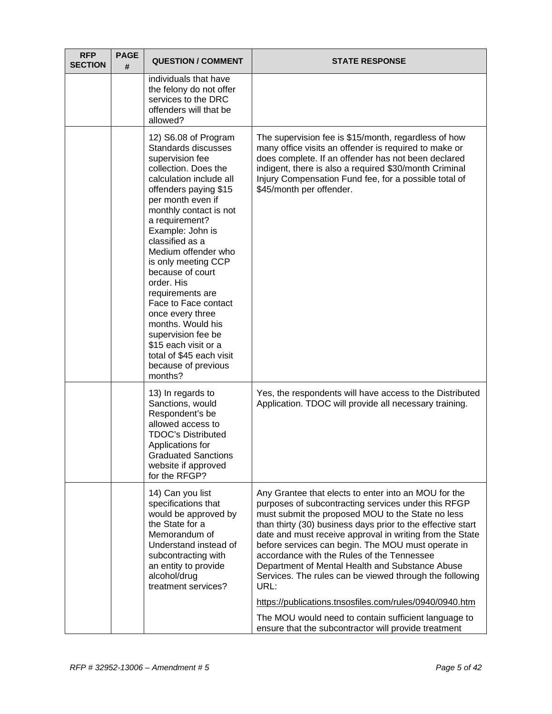| <b>RFP</b><br><b>SECTION</b> | <b>PAGE</b><br># | <b>QUESTION / COMMENT</b>                                                                                                                                                                                                                                                                                                                                                                                                                                                                                                           | <b>STATE RESPONSE</b>                                                                                                                                                                                                                                                                                                                                                                                                                                                                                                                                                                                                                                                                            |
|------------------------------|------------------|-------------------------------------------------------------------------------------------------------------------------------------------------------------------------------------------------------------------------------------------------------------------------------------------------------------------------------------------------------------------------------------------------------------------------------------------------------------------------------------------------------------------------------------|--------------------------------------------------------------------------------------------------------------------------------------------------------------------------------------------------------------------------------------------------------------------------------------------------------------------------------------------------------------------------------------------------------------------------------------------------------------------------------------------------------------------------------------------------------------------------------------------------------------------------------------------------------------------------------------------------|
|                              |                  | individuals that have<br>the felony do not offer<br>services to the DRC<br>offenders will that be<br>allowed?                                                                                                                                                                                                                                                                                                                                                                                                                       |                                                                                                                                                                                                                                                                                                                                                                                                                                                                                                                                                                                                                                                                                                  |
|                              |                  | 12) S6.08 of Program<br>Standards discusses<br>supervision fee<br>collection. Does the<br>calculation include all<br>offenders paying \$15<br>per month even if<br>monthly contact is not<br>a requirement?<br>Example: John is<br>classified as a<br>Medium offender who<br>is only meeting CCP<br>because of court<br>order. His<br>requirements are<br>Face to Face contact<br>once every three<br>months. Would his<br>supervision fee be<br>\$15 each visit or a<br>total of \$45 each visit<br>because of previous<br>months? | The supervision fee is \$15/month, regardless of how<br>many office visits an offender is required to make or<br>does complete. If an offender has not been declared<br>indigent, there is also a required \$30/month Criminal<br>Injury Compensation Fund fee, for a possible total of<br>\$45/month per offender.                                                                                                                                                                                                                                                                                                                                                                              |
|                              |                  | 13) In regards to<br>Sanctions, would<br>Respondent's be<br>allowed access to<br><b>TDOC's Distributed</b><br>Applications for<br><b>Graduated Sanctions</b><br>website if approved<br>for the RFGP?                                                                                                                                                                                                                                                                                                                                | Yes, the respondents will have access to the Distributed<br>Application. TDOC will provide all necessary training.                                                                                                                                                                                                                                                                                                                                                                                                                                                                                                                                                                               |
|                              |                  | 14) Can you list<br>specifications that<br>would be approved by<br>the State for a<br>Memorandum of<br>Understand instead of<br>subcontracting with<br>an entity to provide<br>alcohol/drug<br>treatment services?                                                                                                                                                                                                                                                                                                                  | Any Grantee that elects to enter into an MOU for the<br>purposes of subcontracting services under this RFGP<br>must submit the proposed MOU to the State no less<br>than thirty (30) business days prior to the effective start<br>date and must receive approval in writing from the State<br>before services can begin. The MOU must operate in<br>accordance with the Rules of the Tennessee<br>Department of Mental Health and Substance Abuse<br>Services. The rules can be viewed through the following<br>URL:<br>https://publications.tnsosfiles.com/rules/0940/0940.htm<br>The MOU would need to contain sufficient language to<br>ensure that the subcontractor will provide treatment |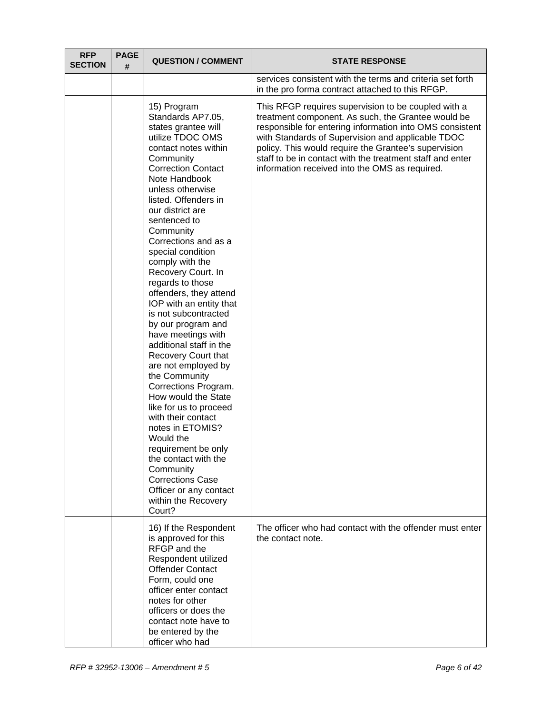| <b>RFP</b><br><b>SECTION</b> | <b>PAGE</b><br># | <b>QUESTION / COMMENT</b>                                                                                                                                                                                                                                                                                                                                                                                                                                                                                                                                                                                                                                                                                                                                                                                                                                                  | <b>STATE RESPONSE</b>                                                                                                                                                                                                                                                                                                                                                                             |
|------------------------------|------------------|----------------------------------------------------------------------------------------------------------------------------------------------------------------------------------------------------------------------------------------------------------------------------------------------------------------------------------------------------------------------------------------------------------------------------------------------------------------------------------------------------------------------------------------------------------------------------------------------------------------------------------------------------------------------------------------------------------------------------------------------------------------------------------------------------------------------------------------------------------------------------|---------------------------------------------------------------------------------------------------------------------------------------------------------------------------------------------------------------------------------------------------------------------------------------------------------------------------------------------------------------------------------------------------|
|                              |                  |                                                                                                                                                                                                                                                                                                                                                                                                                                                                                                                                                                                                                                                                                                                                                                                                                                                                            | services consistent with the terms and criteria set forth<br>in the pro forma contract attached to this RFGP.                                                                                                                                                                                                                                                                                     |
|                              |                  | 15) Program<br>Standards AP7.05,<br>states grantee will<br>utilize TDOC OMS<br>contact notes within<br>Community<br><b>Correction Contact</b><br>Note Handbook<br>unless otherwise<br>listed. Offenders in<br>our district are<br>sentenced to<br>Community<br>Corrections and as a<br>special condition<br>comply with the<br>Recovery Court. In<br>regards to those<br>offenders, they attend<br>IOP with an entity that<br>is not subcontracted<br>by our program and<br>have meetings with<br>additional staff in the<br>Recovery Court that<br>are not employed by<br>the Community<br>Corrections Program.<br>How would the State<br>like for us to proceed<br>with their contact<br>notes in ETOMIS?<br>Would the<br>requirement be only<br>the contact with the<br>Community<br><b>Corrections Case</b><br>Officer or any contact<br>within the Recovery<br>Court? | This RFGP requires supervision to be coupled with a<br>treatment component. As such, the Grantee would be<br>responsible for entering information into OMS consistent<br>with Standards of Supervision and applicable TDOC<br>policy. This would require the Grantee's supervision<br>staff to be in contact with the treatment staff and enter<br>information received into the OMS as required. |
|                              |                  | 16) If the Respondent<br>is approved for this<br>RFGP and the<br>Respondent utilized<br><b>Offender Contact</b><br>Form, could one<br>officer enter contact<br>notes for other<br>officers or does the                                                                                                                                                                                                                                                                                                                                                                                                                                                                                                                                                                                                                                                                     | The officer who had contact with the offender must enter<br>the contact note.                                                                                                                                                                                                                                                                                                                     |
|                              |                  | contact note have to<br>be entered by the<br>officer who had                                                                                                                                                                                                                                                                                                                                                                                                                                                                                                                                                                                                                                                                                                                                                                                                               |                                                                                                                                                                                                                                                                                                                                                                                                   |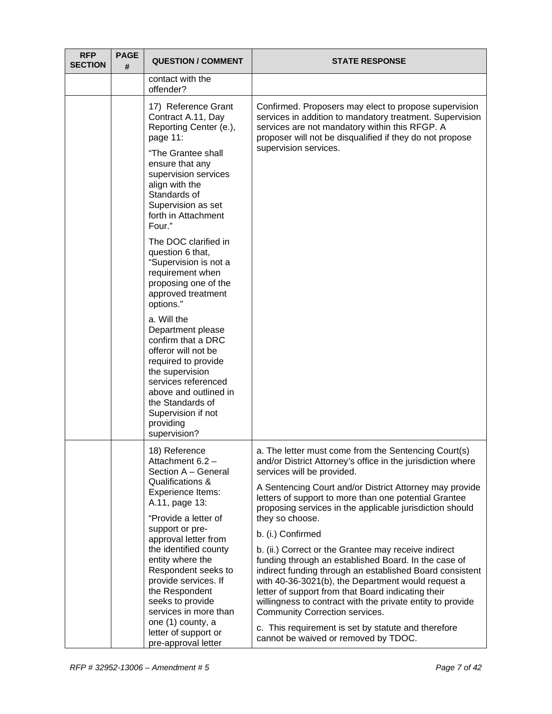| <b>RFP</b><br><b>SECTION</b> | <b>PAGE</b><br># | <b>QUESTION / COMMENT</b>                                                                                                                                                                                                                                  | <b>STATE RESPONSE</b>                                                                                                                                                                                                                                                                                                                                                                                                                                                                                                                                 |
|------------------------------|------------------|------------------------------------------------------------------------------------------------------------------------------------------------------------------------------------------------------------------------------------------------------------|-------------------------------------------------------------------------------------------------------------------------------------------------------------------------------------------------------------------------------------------------------------------------------------------------------------------------------------------------------------------------------------------------------------------------------------------------------------------------------------------------------------------------------------------------------|
|                              |                  | contact with the<br>offender?                                                                                                                                                                                                                              |                                                                                                                                                                                                                                                                                                                                                                                                                                                                                                                                                       |
|                              |                  | 17) Reference Grant<br>Contract A.11, Day<br>Reporting Center (e.),<br>page 11:                                                                                                                                                                            | Confirmed. Proposers may elect to propose supervision<br>services in addition to mandatory treatment. Supervision<br>services are not mandatory within this RFGP. A<br>proposer will not be disqualified if they do not propose                                                                                                                                                                                                                                                                                                                       |
|                              |                  | "The Grantee shall<br>ensure that any<br>supervision services<br>align with the<br>Standards of<br>Supervision as set<br>forth in Attachment<br>Four."                                                                                                     | supervision services.                                                                                                                                                                                                                                                                                                                                                                                                                                                                                                                                 |
|                              |                  | The DOC clarified in<br>question 6 that,<br>"Supervision is not a<br>requirement when<br>proposing one of the<br>approved treatment<br>options."                                                                                                           |                                                                                                                                                                                                                                                                                                                                                                                                                                                                                                                                                       |
|                              |                  | a. Will the<br>Department please<br>confirm that a DRC<br>offeror will not be<br>required to provide<br>the supervision<br>services referenced<br>above and outlined in<br>the Standards of<br>Supervision if not<br>providing<br>supervision?             |                                                                                                                                                                                                                                                                                                                                                                                                                                                                                                                                                       |
|                              |                  | 18) Reference<br>Attachment 6.2 -<br>Section A - General<br>Qualifications &<br>Experience Items:<br>A.11, page 13:<br>"Provide a letter of<br>support or pre-<br>approval letter from<br>the identified county<br>entity where the<br>Respondent seeks to | a. The letter must come from the Sentencing Court(s)<br>and/or District Attorney's office in the jurisdiction where<br>services will be provided.<br>A Sentencing Court and/or District Attorney may provide<br>letters of support to more than one potential Grantee<br>proposing services in the applicable jurisdiction should<br>they so choose.<br>b. (i.) Confirmed<br>b. (ii.) Correct or the Grantee may receive indirect<br>funding through an established Board. In the case of<br>indirect funding through an established Board consistent |
|                              |                  | provide services. If<br>the Respondent<br>seeks to provide<br>services in more than<br>one (1) county, a<br>letter of support or<br>pre-approval letter                                                                                                    | with 40-36-3021(b), the Department would request a<br>letter of support from that Board indicating their<br>willingness to contract with the private entity to provide<br>Community Correction services.<br>c. This requirement is set by statute and therefore<br>cannot be waived or removed by TDOC.                                                                                                                                                                                                                                               |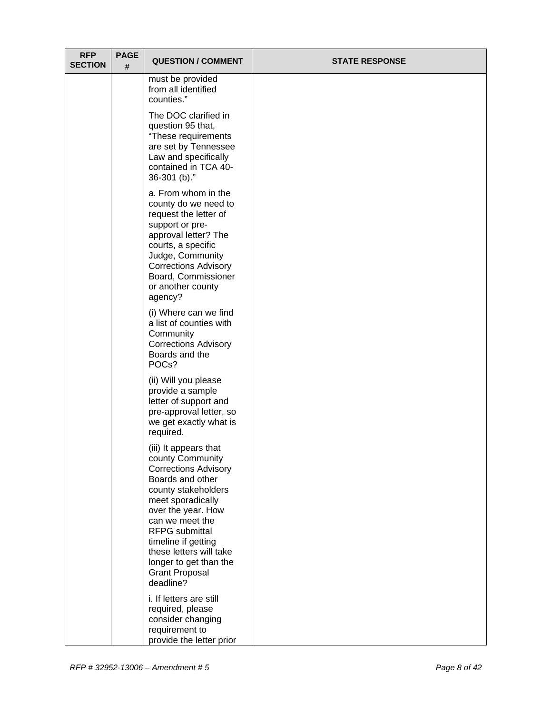| <b>RFP</b><br><b>SECTION</b> | <b>PAGE</b><br># | <b>QUESTION / COMMENT</b>                                                                                                                                                                                                                                                                                                    | <b>STATE RESPONSE</b> |
|------------------------------|------------------|------------------------------------------------------------------------------------------------------------------------------------------------------------------------------------------------------------------------------------------------------------------------------------------------------------------------------|-----------------------|
|                              |                  | must be provided<br>from all identified<br>counties."                                                                                                                                                                                                                                                                        |                       |
|                              |                  | The DOC clarified in<br>question 95 that,<br>"These requirements<br>are set by Tennessee<br>Law and specifically<br>contained in TCA 40-<br>36-301 (b)."                                                                                                                                                                     |                       |
|                              |                  | a. From whom in the<br>county do we need to<br>request the letter of<br>support or pre-<br>approval letter? The<br>courts, a specific<br>Judge, Community<br><b>Corrections Advisory</b><br>Board, Commissioner<br>or another county<br>agency?                                                                              |                       |
|                              |                  | (i) Where can we find<br>a list of counties with<br>Community<br><b>Corrections Advisory</b><br>Boards and the<br>POC <sub>s</sub> ?                                                                                                                                                                                         |                       |
|                              |                  | (ii) Will you please<br>provide a sample<br>letter of support and<br>pre-approval letter, so<br>we get exactly what is<br>required.                                                                                                                                                                                          |                       |
|                              |                  | (iii) It appears that<br>county Community<br><b>Corrections Advisory</b><br>Boards and other<br>county stakeholders<br>meet sporadically<br>over the year. How<br>can we meet the<br><b>RFPG</b> submittal<br>timeline if getting<br>these letters will take<br>longer to get than the<br><b>Grant Proposal</b><br>deadline? |                       |
|                              |                  | i. If letters are still<br>required, please<br>consider changing<br>requirement to<br>provide the letter prior                                                                                                                                                                                                               |                       |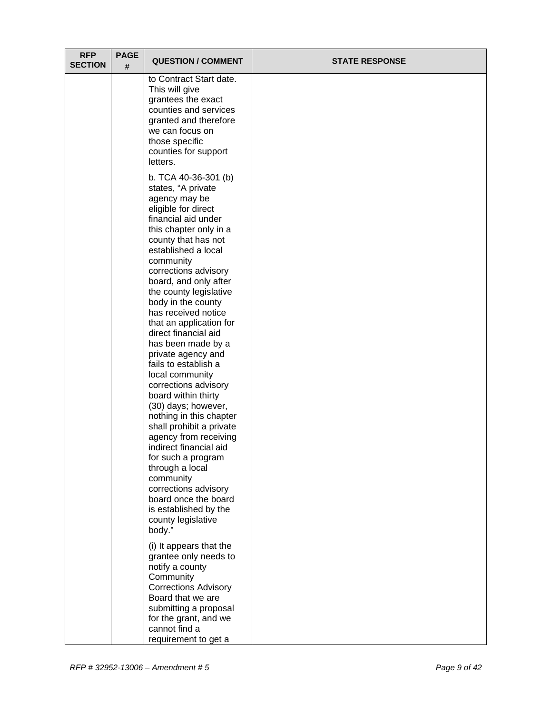| <b>RFP</b><br><b>SECTION</b> | <b>PAGE</b><br># | <b>QUESTION / COMMENT</b>                                                                                                                                                                                                                                                                                                                                                                                                                                                                                                                                                                                                                                                                                                                                                                                       | <b>STATE RESPONSE</b> |
|------------------------------|------------------|-----------------------------------------------------------------------------------------------------------------------------------------------------------------------------------------------------------------------------------------------------------------------------------------------------------------------------------------------------------------------------------------------------------------------------------------------------------------------------------------------------------------------------------------------------------------------------------------------------------------------------------------------------------------------------------------------------------------------------------------------------------------------------------------------------------------|-----------------------|
|                              |                  | to Contract Start date.<br>This will give<br>grantees the exact<br>counties and services<br>granted and therefore<br>we can focus on<br>those specific<br>counties for support<br>letters.                                                                                                                                                                                                                                                                                                                                                                                                                                                                                                                                                                                                                      |                       |
|                              |                  | b. TCA 40-36-301 (b)<br>states, "A private<br>agency may be<br>eligible for direct<br>financial aid under<br>this chapter only in a<br>county that has not<br>established a local<br>community<br>corrections advisory<br>board, and only after<br>the county legislative<br>body in the county<br>has received notice<br>that an application for<br>direct financial aid<br>has been made by a<br>private agency and<br>fails to establish a<br>local community<br>corrections advisory<br>board within thirty<br>(30) days; however,<br>nothing in this chapter<br>shall prohibit a private<br>agency from receiving<br>indirect financial aid<br>for such a program<br>through a local<br>community<br>corrections advisory<br>board once the board<br>is established by the<br>county legislative<br>body." |                       |
|                              |                  | (i) It appears that the<br>grantee only needs to<br>notify a county<br>Community<br><b>Corrections Advisory</b><br>Board that we are<br>submitting a proposal<br>for the grant, and we<br>cannot find a<br>requirement to get a                                                                                                                                                                                                                                                                                                                                                                                                                                                                                                                                                                                 |                       |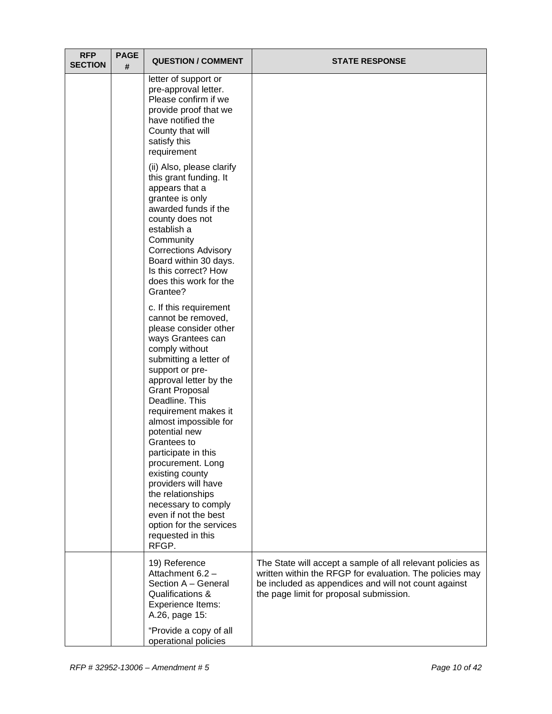| <b>RFP</b><br><b>SECTION</b> | <b>PAGE</b><br># | <b>QUESTION / COMMENT</b>                                                                                                                                                                                                                                                                                                                                                                                                                                                                                                          | <b>STATE RESPONSE</b>                                                                                                                                                                                                     |
|------------------------------|------------------|------------------------------------------------------------------------------------------------------------------------------------------------------------------------------------------------------------------------------------------------------------------------------------------------------------------------------------------------------------------------------------------------------------------------------------------------------------------------------------------------------------------------------------|---------------------------------------------------------------------------------------------------------------------------------------------------------------------------------------------------------------------------|
|                              |                  | letter of support or<br>pre-approval letter.<br>Please confirm if we<br>provide proof that we<br>have notified the<br>County that will<br>satisfy this<br>requirement                                                                                                                                                                                                                                                                                                                                                              |                                                                                                                                                                                                                           |
|                              |                  | (ii) Also, please clarify<br>this grant funding. It<br>appears that a<br>grantee is only<br>awarded funds if the<br>county does not<br>establish a<br>Community<br><b>Corrections Advisory</b><br>Board within 30 days.<br>Is this correct? How<br>does this work for the<br>Grantee?                                                                                                                                                                                                                                              |                                                                                                                                                                                                                           |
|                              |                  | c. If this requirement<br>cannot be removed,<br>please consider other<br>ways Grantees can<br>comply without<br>submitting a letter of<br>support or pre-<br>approval letter by the<br><b>Grant Proposal</b><br>Deadline. This<br>requirement makes it<br>almost impossible for<br>potential new<br>Grantees to<br>participate in this<br>procurement. Long<br>existing county<br>providers will have<br>the relationships<br>necessary to comply<br>even if not the best<br>option for the services<br>requested in this<br>RFGP. |                                                                                                                                                                                                                           |
|                              |                  | 19) Reference<br>Attachment 6.2 -<br>Section A - General<br>Qualifications &<br>Experience Items:<br>A.26, page 15:                                                                                                                                                                                                                                                                                                                                                                                                                | The State will accept a sample of all relevant policies as<br>written within the RFGP for evaluation. The policies may<br>be included as appendices and will not count against<br>the page limit for proposal submission. |
|                              |                  | "Provide a copy of all<br>operational policies                                                                                                                                                                                                                                                                                                                                                                                                                                                                                     |                                                                                                                                                                                                                           |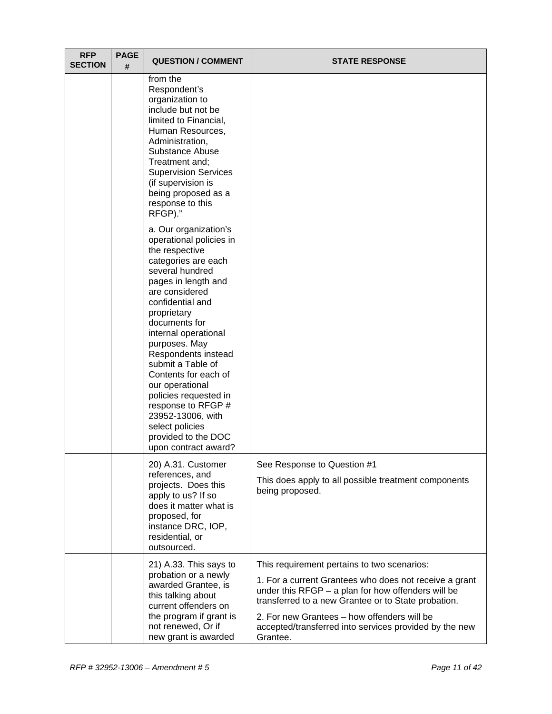| <b>RFP</b><br><b>SECTION</b> | <b>PAGE</b><br># | <b>QUESTION / COMMENT</b>                                                                                                                                                                                                                                                                                                                                                                                                                                                       | <b>STATE RESPONSE</b>                                                                                                                                                                                                                                                                                                                     |
|------------------------------|------------------|---------------------------------------------------------------------------------------------------------------------------------------------------------------------------------------------------------------------------------------------------------------------------------------------------------------------------------------------------------------------------------------------------------------------------------------------------------------------------------|-------------------------------------------------------------------------------------------------------------------------------------------------------------------------------------------------------------------------------------------------------------------------------------------------------------------------------------------|
|                              |                  | from the<br>Respondent's<br>organization to<br>include but not be<br>limited to Financial,<br>Human Resources,<br>Administration,<br>Substance Abuse<br>Treatment and;<br><b>Supervision Services</b><br>(if supervision is<br>being proposed as a<br>response to this<br>RFGP)."                                                                                                                                                                                               |                                                                                                                                                                                                                                                                                                                                           |
|                              |                  | a. Our organization's<br>operational policies in<br>the respective<br>categories are each<br>several hundred<br>pages in length and<br>are considered<br>confidential and<br>proprietary<br>documents for<br>internal operational<br>purposes. May<br>Respondents instead<br>submit a Table of<br>Contents for each of<br>our operational<br>policies requested in<br>response to RFGP #<br>23952-13006, with<br>select policies<br>provided to the DOC<br>upon contract award? |                                                                                                                                                                                                                                                                                                                                           |
|                              |                  | 20) A.31. Customer<br>references, and<br>projects. Does this<br>apply to us? If so<br>does it matter what is<br>proposed, for<br>instance DRC, IOP,<br>residential, or<br>outsourced.                                                                                                                                                                                                                                                                                           | See Response to Question #1<br>This does apply to all possible treatment components<br>being proposed.                                                                                                                                                                                                                                    |
|                              |                  | 21) A.33. This says to<br>probation or a newly<br>awarded Grantee, is<br>this talking about<br>current offenders on<br>the program if grant is<br>not renewed, Or if<br>new grant is awarded                                                                                                                                                                                                                                                                                    | This requirement pertains to two scenarios:<br>1. For a current Grantees who does not receive a grant<br>under this $RFGP - a$ plan for how offenders will be<br>transferred to a new Grantee or to State probation.<br>2. For new Grantees - how offenders will be<br>accepted/transferred into services provided by the new<br>Grantee. |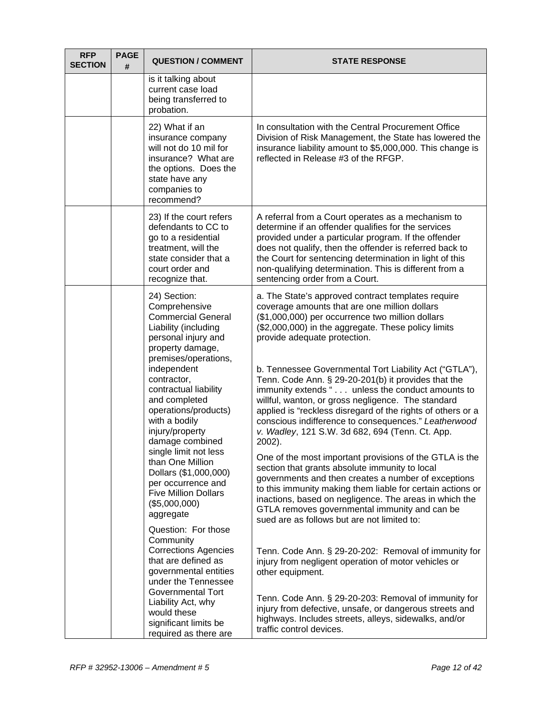| <b>RFP</b><br><b>SECTION</b> | <b>PAGE</b><br># | <b>QUESTION / COMMENT</b>                                                                                                                                     | <b>STATE RESPONSE</b>                                                                                                                                                                                                                                                                                                                                                                                       |
|------------------------------|------------------|---------------------------------------------------------------------------------------------------------------------------------------------------------------|-------------------------------------------------------------------------------------------------------------------------------------------------------------------------------------------------------------------------------------------------------------------------------------------------------------------------------------------------------------------------------------------------------------|
|                              |                  | is it talking about<br>current case load<br>being transferred to<br>probation.                                                                                |                                                                                                                                                                                                                                                                                                                                                                                                             |
|                              |                  | 22) What if an<br>insurance company<br>will not do 10 mil for<br>insurance? What are<br>the options. Does the<br>state have any<br>companies to<br>recommend? | In consultation with the Central Procurement Office<br>Division of Risk Management, the State has lowered the<br>insurance liability amount to \$5,000,000. This change is<br>reflected in Release #3 of the RFGP.                                                                                                                                                                                          |
|                              |                  | 23) If the court refers<br>defendants to CC to<br>go to a residential<br>treatment, will the<br>state consider that a<br>court order and<br>recognize that.   | A referral from a Court operates as a mechanism to<br>determine if an offender qualifies for the services<br>provided under a particular program. If the offender<br>does not qualify, then the offender is referred back to<br>the Court for sentencing determination in light of this<br>non-qualifying determination. This is different from a<br>sentencing order from a Court.                         |
|                              |                  | 24) Section:<br>Comprehensive<br><b>Commercial General</b><br>Liability (including<br>personal injury and<br>property damage,<br>premises/operations,         | a. The State's approved contract templates require<br>coverage amounts that are one million dollars<br>(\$1,000,000) per occurrence two million dollars<br>(\$2,000,000) in the aggregate. These policy limits<br>provide adequate protection.                                                                                                                                                              |
|                              |                  | independent<br>contractor,<br>contractual liability<br>and completed<br>operations/products)<br>with a bodily<br>injury/property<br>damage combined           | b. Tennessee Governmental Tort Liability Act ("GTLA"),<br>Tenn. Code Ann. § 29-20-201(b) it provides that the<br>immunity extends " unless the conduct amounts to<br>willful, wanton, or gross negligence. The standard<br>applied is "reckless disregard of the rights of others or a<br>conscious indifference to consequences." Leatherwood<br>v. Wadley, 121 S.W. 3d 682, 694 (Tenn. Ct. App.<br>2002). |
|                              |                  | single limit not less<br>than One Million<br>Dollars (\$1,000,000)<br>per occurrence and<br><b>Five Million Dollars</b><br>(\$5,000,000)<br>aggregate         | One of the most important provisions of the GTLA is the<br>section that grants absolute immunity to local<br>governments and then creates a number of exceptions<br>to this immunity making them liable for certain actions or<br>inactions, based on negligence. The areas in which the<br>GTLA removes governmental immunity and can be<br>sued are as follows but are not limited to:                    |
|                              |                  | Question: For those<br>Community<br><b>Corrections Agencies</b><br>that are defined as<br>governmental entities<br>under the Tennessee                        | Tenn. Code Ann. § 29-20-202: Removal of immunity for<br>injury from negligent operation of motor vehicles or<br>other equipment.                                                                                                                                                                                                                                                                            |
|                              |                  | Governmental Tort<br>Liability Act, why<br>would these<br>significant limits be<br>required as there are                                                      | Tenn. Code Ann. § 29-20-203: Removal of immunity for<br>injury from defective, unsafe, or dangerous streets and<br>highways. Includes streets, alleys, sidewalks, and/or<br>traffic control devices.                                                                                                                                                                                                        |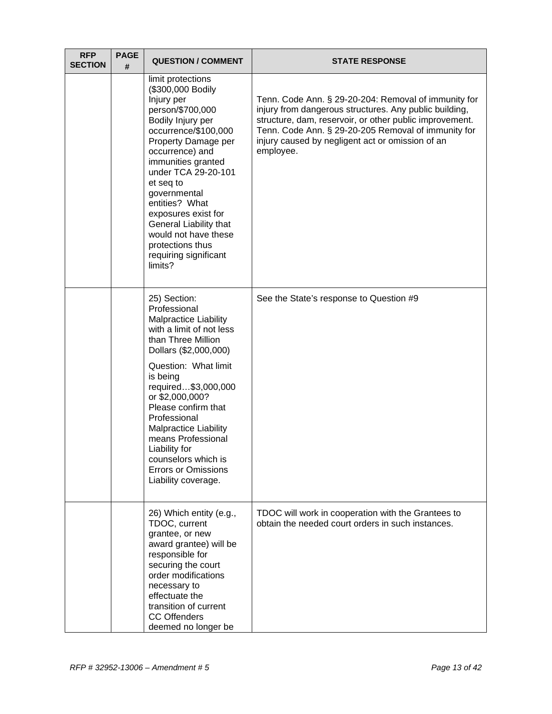| <b>RFP</b><br><b>SECTION</b> | <b>PAGE</b><br># | <b>QUESTION / COMMENT</b>                                                                                                                                                                                                                                                                                                                                                                                       | <b>STATE RESPONSE</b>                                                                                                                                                                                                                                                                             |
|------------------------------|------------------|-----------------------------------------------------------------------------------------------------------------------------------------------------------------------------------------------------------------------------------------------------------------------------------------------------------------------------------------------------------------------------------------------------------------|---------------------------------------------------------------------------------------------------------------------------------------------------------------------------------------------------------------------------------------------------------------------------------------------------|
|                              |                  | limit protections<br>(\$300,000 Bodily<br>Injury per<br>person/\$700,000<br>Bodily Injury per<br>occurrence/\$100,000<br>Property Damage per<br>occurrence) and<br>immunities granted<br>under TCA 29-20-101<br>et seq to<br>governmental<br>entities? What<br>exposures exist for<br>General Liability that<br>would not have these<br>protections thus<br>requiring significant<br>limits?                    | Tenn. Code Ann. § 29-20-204: Removal of immunity for<br>injury from dangerous structures. Any public building,<br>structure, dam, reservoir, or other public improvement.<br>Tenn. Code Ann. § 29-20-205 Removal of immunity for<br>injury caused by negligent act or omission of an<br>employee. |
|                              |                  | 25) Section:<br>Professional<br><b>Malpractice Liability</b><br>with a limit of not less<br>than Three Million<br>Dollars (\$2,000,000)<br>Question: What limit<br>is being<br>required\$3,000,000<br>or \$2,000,000?<br>Please confirm that<br>Professional<br><b>Malpractice Liability</b><br>means Professional<br>Liability for<br>counselors which is<br><b>Errors or Omissions</b><br>Liability coverage. | See the State's response to Question #9                                                                                                                                                                                                                                                           |
|                              |                  | 26) Which entity (e.g.,<br>TDOC, current<br>grantee, or new<br>award grantee) will be<br>responsible for<br>securing the court<br>order modifications<br>necessary to<br>effectuate the<br>transition of current<br><b>CC Offenders</b><br>deemed no longer be                                                                                                                                                  | TDOC will work in cooperation with the Grantees to<br>obtain the needed court orders in such instances.                                                                                                                                                                                           |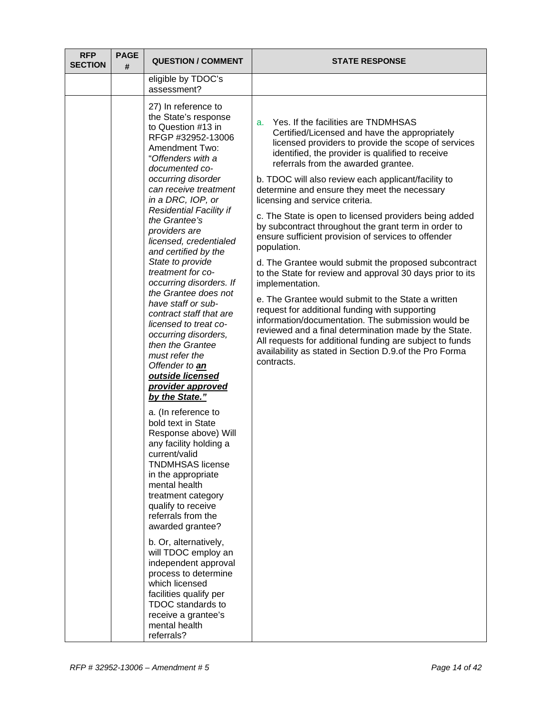| <b>RFP</b><br><b>SECTION</b> | <b>PAGE</b><br># | <b>QUESTION / COMMENT</b>                                                                                                                                                                                                                                            | <b>STATE RESPONSE</b>                                                                                                                                                                                                                                                                                                                                   |
|------------------------------|------------------|----------------------------------------------------------------------------------------------------------------------------------------------------------------------------------------------------------------------------------------------------------------------|---------------------------------------------------------------------------------------------------------------------------------------------------------------------------------------------------------------------------------------------------------------------------------------------------------------------------------------------------------|
|                              |                  | eligible by TDOC's<br>assessment?                                                                                                                                                                                                                                    |                                                                                                                                                                                                                                                                                                                                                         |
|                              |                  | 27) In reference to<br>the State's response<br>to Question #13 in<br>RFGP #32952-13006<br><b>Amendment Two:</b><br>"Offenders with a<br>documented co-<br>occurring disorder                                                                                         | Yes. If the facilities are TNDMHSAS<br>a.<br>Certified/Licensed and have the appropriately<br>licensed providers to provide the scope of services<br>identified, the provider is qualified to receive<br>referrals from the awarded grantee.<br>b. TDOC will also review each applicant/facility to                                                     |
|                              |                  | can receive treatment<br>in a DRC, IOP, or                                                                                                                                                                                                                           | determine and ensure they meet the necessary<br>licensing and service criteria.                                                                                                                                                                                                                                                                         |
|                              |                  | <b>Residential Facility if</b><br>the Grantee's<br>providers are<br>licensed, credentialed<br>and certified by the                                                                                                                                                   | c. The State is open to licensed providers being added<br>by subcontract throughout the grant term in order to<br>ensure sufficient provision of services to offender<br>population.                                                                                                                                                                    |
|                              |                  | State to provide<br>treatment for co-<br>occurring disorders. If                                                                                                                                                                                                     | d. The Grantee would submit the proposed subcontract<br>to the State for review and approval 30 days prior to its<br>implementation.                                                                                                                                                                                                                    |
|                              |                  | the Grantee does not<br>have staff or sub-<br>contract staff that are<br>licensed to treat co-<br>occurring disorders,<br>then the Grantee<br>must refer the<br>Offender to an<br>outside licensed<br>provider approved<br>by the State."                            | e. The Grantee would submit to the State a written<br>request for additional funding with supporting<br>information/documentation. The submission would be<br>reviewed and a final determination made by the State.<br>All requests for additional funding are subject to funds<br>availability as stated in Section D.9.of the Pro Forma<br>contracts. |
|                              |                  | a. (In reference to<br>bold text in State<br>Response above) Will<br>any facility holding a<br>current/valid<br><b>TNDMHSAS license</b><br>in the appropriate<br>mental health<br>treatment category<br>qualify to receive<br>referrals from the<br>awarded grantee? |                                                                                                                                                                                                                                                                                                                                                         |
|                              |                  | b. Or, alternatively,<br>will TDOC employ an<br>independent approval<br>process to determine<br>which licensed<br>facilities qualify per<br><b>TDOC</b> standards to<br>receive a grantee's<br>mental health<br>referrals?                                           |                                                                                                                                                                                                                                                                                                                                                         |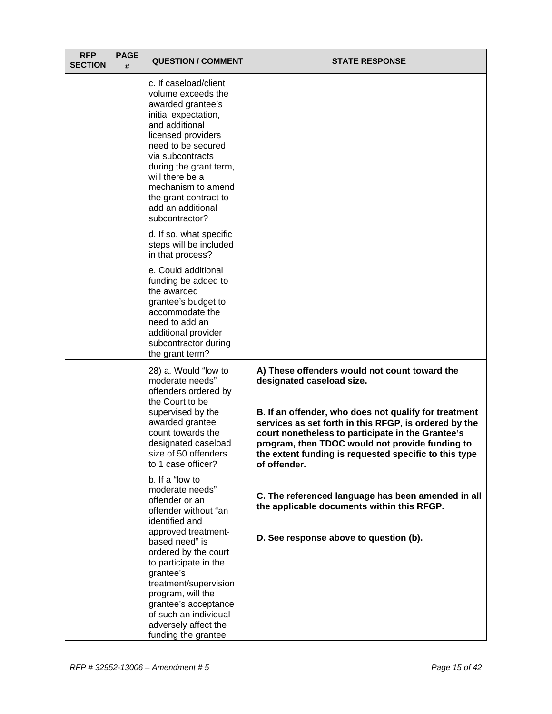| c. If caseload/client<br>volume exceeds the<br>awarded grantee's<br>initial expectation,<br>and additional<br>licensed providers<br>need to be secured<br>via subcontracts<br>during the grant term,<br>will there be a<br>mechanism to amend<br>the grant contract to<br>add an additional<br>subcontractor?<br>d. If so, what specific<br>steps will be included<br>in that process?<br>e. Could additional<br>funding be added to<br>the awarded<br>grantee's budget to<br>accommodate the<br>need to add an<br>additional provider<br>subcontractor during<br>the grant term?<br>A) These offenders would not count toward the<br>28) a. Would "low to<br>moderate needs"<br>designated caseload size.<br>offenders ordered by<br>the Court to be<br>supervised by the<br>awarded grantee<br>count towards the<br>designated caseload<br>size of 50 offenders<br>to 1 case officer?<br>of offender.<br>b. If a "low to<br>moderate needs"<br>offender or an<br>the applicable documents within this RFGP.<br>offender without "an<br>identified and<br>approved treatment-<br>D. See response above to question (b).<br>based need" is<br>ordered by the court<br>to participate in the | <b>RFP</b><br><b>SECTION</b> | <b>PAGE</b><br># | <b>QUESTION / COMMENT</b> | <b>STATE RESPONSE</b>                                                                                                                                                                                                                                                           |
|---------------------------------------------------------------------------------------------------------------------------------------------------------------------------------------------------------------------------------------------------------------------------------------------------------------------------------------------------------------------------------------------------------------------------------------------------------------------------------------------------------------------------------------------------------------------------------------------------------------------------------------------------------------------------------------------------------------------------------------------------------------------------------------------------------------------------------------------------------------------------------------------------------------------------------------------------------------------------------------------------------------------------------------------------------------------------------------------------------------------------------------------------------------------------------------------|------------------------------|------------------|---------------------------|---------------------------------------------------------------------------------------------------------------------------------------------------------------------------------------------------------------------------------------------------------------------------------|
|                                                                                                                                                                                                                                                                                                                                                                                                                                                                                                                                                                                                                                                                                                                                                                                                                                                                                                                                                                                                                                                                                                                                                                                             |                              |                  |                           |                                                                                                                                                                                                                                                                                 |
|                                                                                                                                                                                                                                                                                                                                                                                                                                                                                                                                                                                                                                                                                                                                                                                                                                                                                                                                                                                                                                                                                                                                                                                             |                              |                  |                           |                                                                                                                                                                                                                                                                                 |
|                                                                                                                                                                                                                                                                                                                                                                                                                                                                                                                                                                                                                                                                                                                                                                                                                                                                                                                                                                                                                                                                                                                                                                                             |                              |                  |                           |                                                                                                                                                                                                                                                                                 |
|                                                                                                                                                                                                                                                                                                                                                                                                                                                                                                                                                                                                                                                                                                                                                                                                                                                                                                                                                                                                                                                                                                                                                                                             |                              |                  |                           |                                                                                                                                                                                                                                                                                 |
|                                                                                                                                                                                                                                                                                                                                                                                                                                                                                                                                                                                                                                                                                                                                                                                                                                                                                                                                                                                                                                                                                                                                                                                             |                              |                  |                           | B. If an offender, who does not qualify for treatment<br>services as set forth in this RFGP, is ordered by the<br>court nonetheless to participate in the Grantee's<br>program, then TDOC would not provide funding to<br>the extent funding is requested specific to this type |
|                                                                                                                                                                                                                                                                                                                                                                                                                                                                                                                                                                                                                                                                                                                                                                                                                                                                                                                                                                                                                                                                                                                                                                                             |                              |                  |                           | C. The referenced language has been amended in all                                                                                                                                                                                                                              |
|                                                                                                                                                                                                                                                                                                                                                                                                                                                                                                                                                                                                                                                                                                                                                                                                                                                                                                                                                                                                                                                                                                                                                                                             |                              |                  |                           |                                                                                                                                                                                                                                                                                 |
| treatment/supervision<br>program, will the<br>grantee's acceptance<br>of such an individual<br>adversely affect the<br>funding the grantee                                                                                                                                                                                                                                                                                                                                                                                                                                                                                                                                                                                                                                                                                                                                                                                                                                                                                                                                                                                                                                                  |                              |                  | grantee's                 |                                                                                                                                                                                                                                                                                 |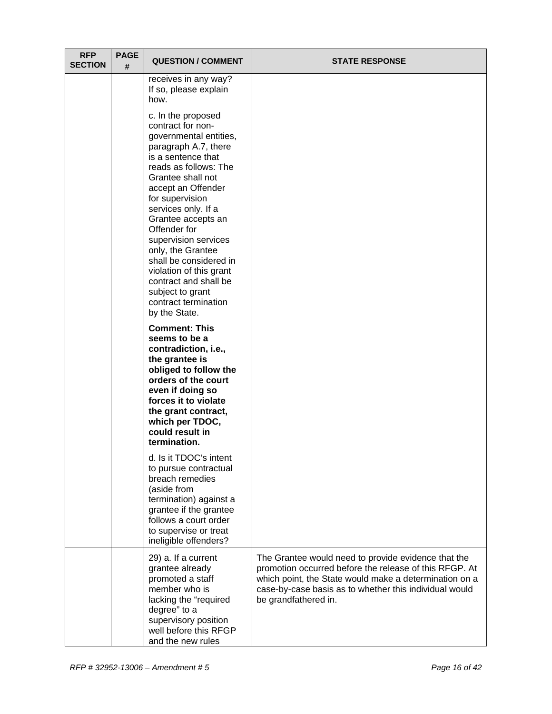| <b>RFP</b><br><b>SECTION</b> | <b>PAGE</b><br># | <b>QUESTION / COMMENT</b>                                                                                                                                                                                                                                                                                                                                                                                                                                   | <b>STATE RESPONSE</b>                                                                                                                                                                                                                                     |
|------------------------------|------------------|-------------------------------------------------------------------------------------------------------------------------------------------------------------------------------------------------------------------------------------------------------------------------------------------------------------------------------------------------------------------------------------------------------------------------------------------------------------|-----------------------------------------------------------------------------------------------------------------------------------------------------------------------------------------------------------------------------------------------------------|
|                              |                  | receives in any way?<br>If so, please explain<br>how.                                                                                                                                                                                                                                                                                                                                                                                                       |                                                                                                                                                                                                                                                           |
|                              |                  | c. In the proposed<br>contract for non-<br>governmental entities,<br>paragraph A.7, there<br>is a sentence that<br>reads as follows: The<br>Grantee shall not<br>accept an Offender<br>for supervision<br>services only. If a<br>Grantee accepts an<br>Offender for<br>supervision services<br>only, the Grantee<br>shall be considered in<br>violation of this grant<br>contract and shall be<br>subject to grant<br>contract termination<br>by the State. |                                                                                                                                                                                                                                                           |
|                              |                  | <b>Comment: This</b><br>seems to be a<br>contradiction, i.e.,<br>the grantee is<br>obliged to follow the<br>orders of the court<br>even if doing so<br>forces it to violate<br>the grant contract,<br>which per TDOC,<br>could result in<br>termination.                                                                                                                                                                                                    |                                                                                                                                                                                                                                                           |
|                              |                  | d. Is it TDOC's intent<br>to pursue contractual<br>breach remedies<br>(aside from<br>termination) against a<br>grantee if the grantee<br>follows a court order<br>to supervise or treat<br>ineligible offenders?                                                                                                                                                                                                                                            |                                                                                                                                                                                                                                                           |
|                              |                  | 29) a. If a current<br>grantee already<br>promoted a staff<br>member who is<br>lacking the "required<br>degree" to a<br>supervisory position<br>well before this RFGP<br>and the new rules                                                                                                                                                                                                                                                                  | The Grantee would need to provide evidence that the<br>promotion occurred before the release of this RFGP. At<br>which point, the State would make a determination on a<br>case-by-case basis as to whether this individual would<br>be grandfathered in. |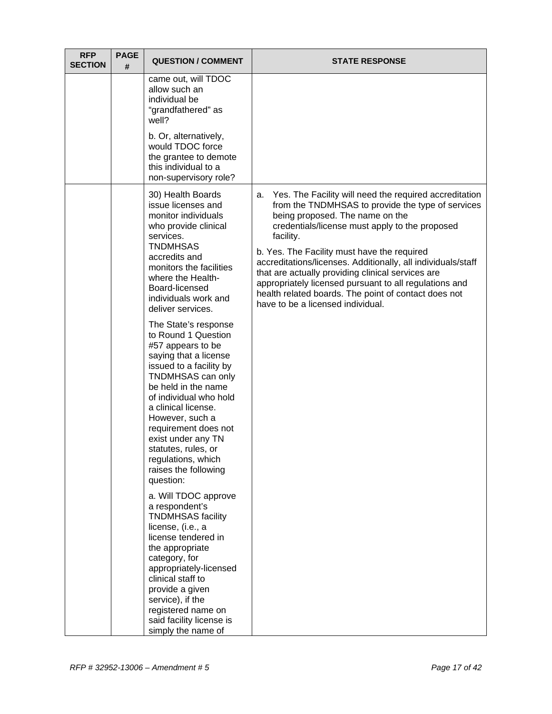| <b>RFP</b><br><b>SECTION</b> | <b>PAGE</b><br># | <b>QUESTION / COMMENT</b>                                                                                                                                                                                                                                                                                                                                            | <b>STATE RESPONSE</b>                                                                                                                                                                                                                                                                                                                                                                                                                                                                                                                          |
|------------------------------|------------------|----------------------------------------------------------------------------------------------------------------------------------------------------------------------------------------------------------------------------------------------------------------------------------------------------------------------------------------------------------------------|------------------------------------------------------------------------------------------------------------------------------------------------------------------------------------------------------------------------------------------------------------------------------------------------------------------------------------------------------------------------------------------------------------------------------------------------------------------------------------------------------------------------------------------------|
|                              |                  | came out, will TDOC<br>allow such an<br>individual be<br>"grandfathered" as<br>well?                                                                                                                                                                                                                                                                                 |                                                                                                                                                                                                                                                                                                                                                                                                                                                                                                                                                |
|                              |                  | b. Or, alternatively,<br>would TDOC force<br>the grantee to demote<br>this individual to a<br>non-supervisory role?                                                                                                                                                                                                                                                  |                                                                                                                                                                                                                                                                                                                                                                                                                                                                                                                                                |
|                              |                  | 30) Health Boards<br>issue licenses and<br>monitor individuals<br>who provide clinical<br>services.<br><b>TNDMHSAS</b><br>accredits and<br>monitors the facilities<br>where the Health-<br>Board-licensed<br>individuals work and<br>deliver services.                                                                                                               | Yes. The Facility will need the required accreditation<br>а.<br>from the TNDMHSAS to provide the type of services<br>being proposed. The name on the<br>credentials/license must apply to the proposed<br>facility.<br>b. Yes. The Facility must have the required<br>accreditations/licenses. Additionally, all individuals/staff<br>that are actually providing clinical services are<br>appropriately licensed pursuant to all regulations and<br>health related boards. The point of contact does not<br>have to be a licensed individual. |
|                              |                  | The State's response<br>to Round 1 Question<br>#57 appears to be<br>saying that a license<br>issued to a facility by<br>TNDMHSAS can only<br>be held in the name<br>of individual who hold<br>a clinical license.<br>However, such a<br>requirement does not<br>exist under any TN<br>statutes, rules, or<br>regulations, which<br>raises the following<br>question: |                                                                                                                                                                                                                                                                                                                                                                                                                                                                                                                                                |
|                              |                  | a. Will TDOC approve<br>a respondent's<br><b>TNDMHSAS facility</b><br>license, (i.e., a<br>license tendered in<br>the appropriate<br>category, for<br>appropriately-licensed<br>clinical staff to<br>provide a given<br>service), if the<br>registered name on<br>said facility license is<br>simply the name of                                                     |                                                                                                                                                                                                                                                                                                                                                                                                                                                                                                                                                |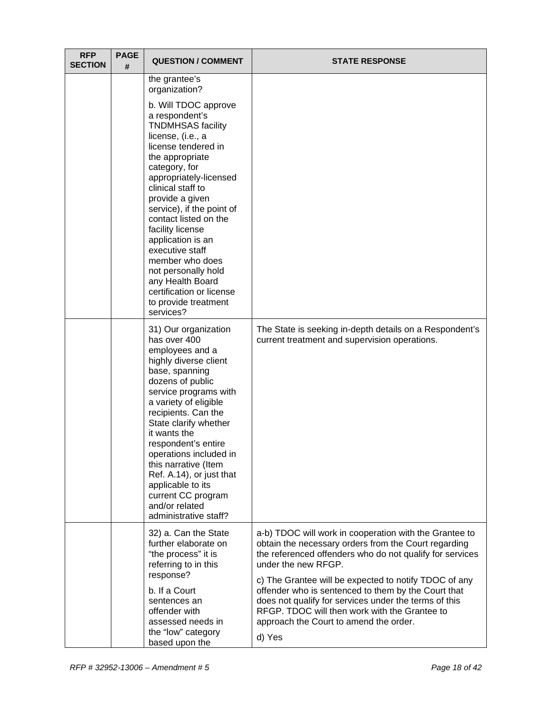| <b>RFP</b><br><b>SECTION</b> | <b>PAGE</b><br># | <b>QUESTION / COMMENT</b>                                                                                                                                                                                                                                                                                                                                                                                                                                                                  | <b>STATE RESPONSE</b>                                                                                                                                                                                                                                                                                                                                                                                                                                                           |
|------------------------------|------------------|--------------------------------------------------------------------------------------------------------------------------------------------------------------------------------------------------------------------------------------------------------------------------------------------------------------------------------------------------------------------------------------------------------------------------------------------------------------------------------------------|---------------------------------------------------------------------------------------------------------------------------------------------------------------------------------------------------------------------------------------------------------------------------------------------------------------------------------------------------------------------------------------------------------------------------------------------------------------------------------|
|                              |                  | the grantee's<br>organization?<br>b. Will TDOC approve<br>a respondent's<br><b>TNDMHSAS facility</b><br>license, (i.e., a<br>license tendered in<br>the appropriate<br>category, for<br>appropriately-licensed<br>clinical staff to<br>provide a given<br>service), if the point of<br>contact listed on the<br>facility license<br>application is an<br>executive staff<br>member who does<br>not personally hold<br>any Health Board<br>certification or license<br>to provide treatment |                                                                                                                                                                                                                                                                                                                                                                                                                                                                                 |
|                              |                  | services?<br>31) Our organization<br>has over 400<br>employees and a<br>highly diverse client<br>base, spanning<br>dozens of public<br>service programs with<br>a variety of eligible<br>recipients. Can the<br>State clarify whether<br>it wants the<br>respondent's entire<br>operations included in<br>this narrative (Item<br>Ref. A.14), or just that<br>applicable to its<br>current CC program<br>and/or related<br>administrative staff?                                           | The State is seeking in-depth details on a Respondent's<br>current treatment and supervision operations.                                                                                                                                                                                                                                                                                                                                                                        |
|                              |                  | 32) a. Can the State<br>further elaborate on<br>"the process" it is<br>referring to in this<br>response?<br>b. If a Court<br>sentences an<br>offender with<br>assessed needs in<br>the "low" category<br>based upon the                                                                                                                                                                                                                                                                    | a-b) TDOC will work in cooperation with the Grantee to<br>obtain the necessary orders from the Court regarding<br>the referenced offenders who do not qualify for services<br>under the new RFGP.<br>c) The Grantee will be expected to notify TDOC of any<br>offender who is sentenced to them by the Court that<br>does not qualify for services under the terms of this<br>RFGP. TDOC will then work with the Grantee to<br>approach the Court to amend the order.<br>d) Yes |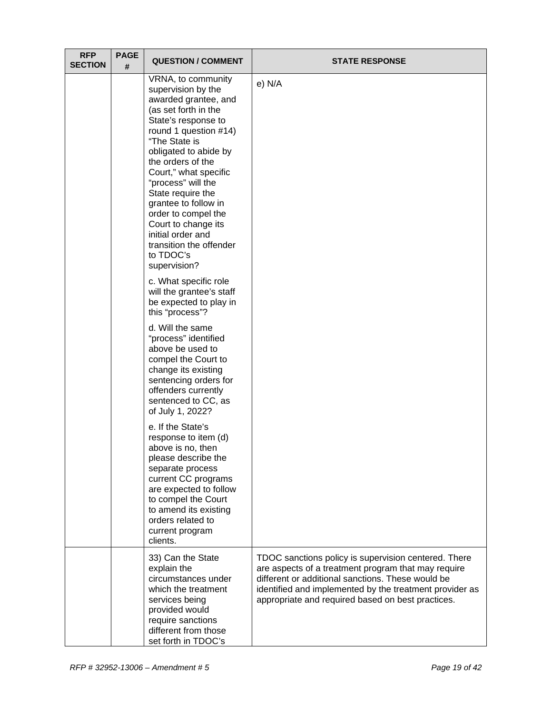| <b>RFP</b><br><b>SECTION</b> | <b>PAGE</b><br># | <b>QUESTION / COMMENT</b>                                                                                                                                                                                                                                                                                                                                                                                                      | <b>STATE RESPONSE</b>                                                                                                                                                                                                                                                            |
|------------------------------|------------------|--------------------------------------------------------------------------------------------------------------------------------------------------------------------------------------------------------------------------------------------------------------------------------------------------------------------------------------------------------------------------------------------------------------------------------|----------------------------------------------------------------------------------------------------------------------------------------------------------------------------------------------------------------------------------------------------------------------------------|
|                              |                  | VRNA, to community<br>supervision by the<br>awarded grantee, and<br>(as set forth in the<br>State's response to<br>round 1 question #14)<br>"The State is<br>obligated to abide by<br>the orders of the<br>Court," what specific<br>"process" will the<br>State require the<br>grantee to follow in<br>order to compel the<br>Court to change its<br>initial order and<br>transition the offender<br>to TDOC's<br>supervision? | e) N/A                                                                                                                                                                                                                                                                           |
|                              |                  | c. What specific role<br>will the grantee's staff<br>be expected to play in<br>this "process"?                                                                                                                                                                                                                                                                                                                                 |                                                                                                                                                                                                                                                                                  |
|                              |                  | d. Will the same<br>"process" identified<br>above be used to<br>compel the Court to<br>change its existing<br>sentencing orders for<br>offenders currently<br>sentenced to CC, as<br>of July 1, 2022?                                                                                                                                                                                                                          |                                                                                                                                                                                                                                                                                  |
|                              |                  | e. If the State's<br>response to item (d)<br>above is no, then<br>please describe the<br>separate process<br>current CC programs<br>are expected to follow<br>to compel the Court<br>to amend its existing<br>orders related to<br>current program<br>clients.                                                                                                                                                                 |                                                                                                                                                                                                                                                                                  |
|                              |                  | 33) Can the State<br>explain the<br>circumstances under<br>which the treatment<br>services being<br>provided would<br>require sanctions<br>different from those<br>set forth in TDOC's                                                                                                                                                                                                                                         | TDOC sanctions policy is supervision centered. There<br>are aspects of a treatment program that may require<br>different or additional sanctions. These would be<br>identified and implemented by the treatment provider as<br>appropriate and required based on best practices. |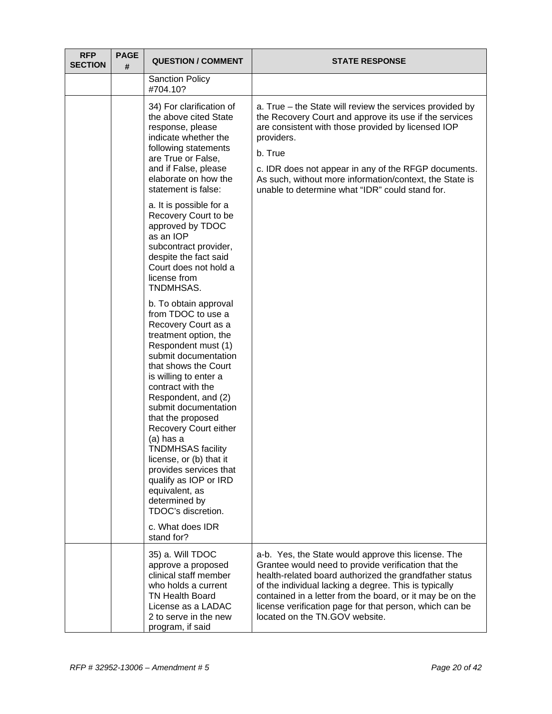| <b>RFP</b><br><b>SECTION</b> | <b>PAGE</b><br># | <b>QUESTION / COMMENT</b>                                                                                                                                                                                                                                                                                                                                                                                                                                                                                         | <b>STATE RESPONSE</b>                                                                                                                                                                                                                                                                                                                                                                   |
|------------------------------|------------------|-------------------------------------------------------------------------------------------------------------------------------------------------------------------------------------------------------------------------------------------------------------------------------------------------------------------------------------------------------------------------------------------------------------------------------------------------------------------------------------------------------------------|-----------------------------------------------------------------------------------------------------------------------------------------------------------------------------------------------------------------------------------------------------------------------------------------------------------------------------------------------------------------------------------------|
|                              |                  | <b>Sanction Policy</b><br>#704.10?                                                                                                                                                                                                                                                                                                                                                                                                                                                                                |                                                                                                                                                                                                                                                                                                                                                                                         |
|                              |                  | 34) For clarification of<br>the above cited State<br>response, please<br>indicate whether the<br>following statements<br>are True or False,<br>and if False, please<br>elaborate on how the<br>statement is false:                                                                                                                                                                                                                                                                                                | a. True – the State will review the services provided by<br>the Recovery Court and approve its use if the services<br>are consistent with those provided by licensed IOP<br>providers.<br>b. True<br>c. IDR does not appear in any of the RFGP documents.<br>As such, without more information/context, the State is<br>unable to determine what "IDR" could stand for.                 |
|                              |                  | a. It is possible for a<br>Recovery Court to be<br>approved by TDOC<br>as an IOP<br>subcontract provider,<br>despite the fact said<br>Court does not hold a<br>license from<br>TNDMHSAS.                                                                                                                                                                                                                                                                                                                          |                                                                                                                                                                                                                                                                                                                                                                                         |
|                              |                  | b. To obtain approval<br>from TDOC to use a<br>Recovery Court as a<br>treatment option, the<br>Respondent must (1)<br>submit documentation<br>that shows the Court<br>is willing to enter a<br>contract with the<br>Respondent, and (2)<br>submit documentation<br>that the proposed<br>Recovery Court either<br>(a) has a<br><b>TNDMHSAS</b> facility<br>license, or (b) that it<br>provides services that<br>qualify as IOP or IRD<br>equivalent, as<br>determined by<br>TDOC's discretion.<br>c. What does IDR |                                                                                                                                                                                                                                                                                                                                                                                         |
|                              |                  | stand for?<br>35) a. Will TDOC<br>approve a proposed<br>clinical staff member<br>who holds a current<br><b>TN Health Board</b><br>License as a LADAC<br>2 to serve in the new<br>program, if said                                                                                                                                                                                                                                                                                                                 | a-b. Yes, the State would approve this license. The<br>Grantee would need to provide verification that the<br>health-related board authorized the grandfather status<br>of the individual lacking a degree. This is typically<br>contained in a letter from the board, or it may be on the<br>license verification page for that person, which can be<br>located on the TN.GOV website. |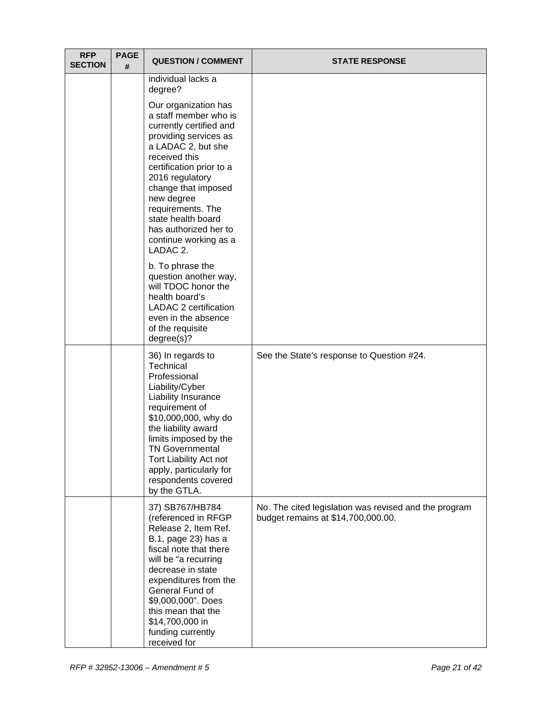| <b>RFP</b><br><b>SECTION</b> | <b>PAGE</b><br># | <b>QUESTION / COMMENT</b>                                                                                                                                                                                                                                                                                                             | <b>STATE RESPONSE</b>                                                                       |
|------------------------------|------------------|---------------------------------------------------------------------------------------------------------------------------------------------------------------------------------------------------------------------------------------------------------------------------------------------------------------------------------------|---------------------------------------------------------------------------------------------|
|                              |                  | individual lacks a<br>degree?                                                                                                                                                                                                                                                                                                         |                                                                                             |
|                              |                  | Our organization has<br>a staff member who is<br>currently certified and<br>providing services as<br>a LADAC 2, but she<br>received this<br>certification prior to a<br>2016 regulatory<br>change that imposed<br>new degree<br>requirements. The<br>state health board<br>has authorized her to<br>continue working as a<br>LADAC 2. |                                                                                             |
|                              |                  | b. To phrase the<br>question another way,<br>will TDOC honor the<br>health board's<br>LADAC 2 certification<br>even in the absence<br>of the requisite<br>degree(s)?                                                                                                                                                                  |                                                                                             |
|                              |                  | 36) In regards to<br>Technical<br>Professional<br>Liability/Cyber<br>Liability Insurance<br>requirement of<br>\$10,000,000, why do<br>the liability award<br>limits imposed by the<br><b>TN Governmental</b><br>Tort Liability Act not<br>apply, particularly for<br>respondents covered<br>by the GTLA.                              | See the State's response to Question #24.                                                   |
|                              |                  | 37) SB767/HB784<br>(referenced in RFGP<br>Release 2, Item Ref.<br>B.1, page 23) has a<br>fiscal note that there<br>will be "a recurring<br>decrease in state<br>expenditures from the<br>General Fund of<br>\$9,000,000". Does<br>this mean that the<br>\$14,700,000 in<br>funding currently<br>received for                          | No. The cited legislation was revised and the program<br>budget remains at \$14,700,000.00. |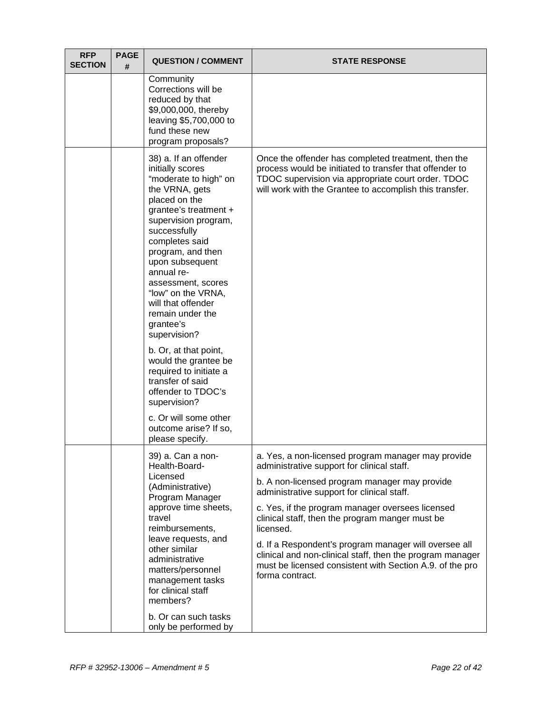| <b>RFP</b><br><b>SECTION</b> | <b>PAGE</b><br># | <b>QUESTION / COMMENT</b>                                                                                                                                                                                                                                                                                                                                                                                                                                                                                                                                                   | <b>STATE RESPONSE</b>                                                                                                                                                                                                                                                                                                                                                                                                                                                                                                    |
|------------------------------|------------------|-----------------------------------------------------------------------------------------------------------------------------------------------------------------------------------------------------------------------------------------------------------------------------------------------------------------------------------------------------------------------------------------------------------------------------------------------------------------------------------------------------------------------------------------------------------------------------|--------------------------------------------------------------------------------------------------------------------------------------------------------------------------------------------------------------------------------------------------------------------------------------------------------------------------------------------------------------------------------------------------------------------------------------------------------------------------------------------------------------------------|
|                              |                  | Community<br>Corrections will be<br>reduced by that<br>\$9,000,000, thereby<br>leaving \$5,700,000 to<br>fund these new<br>program proposals?                                                                                                                                                                                                                                                                                                                                                                                                                               |                                                                                                                                                                                                                                                                                                                                                                                                                                                                                                                          |
|                              |                  | 38) a. If an offender<br>initially scores<br>"moderate to high" on<br>the VRNA, gets<br>placed on the<br>grantee's treatment +<br>supervision program,<br>successfully<br>completes said<br>program, and then<br>upon subsequent<br>annual re-<br>assessment, scores<br>"low" on the VRNA,<br>will that offender<br>remain under the<br>grantee's<br>supervision?<br>b. Or, at that point,<br>would the grantee be<br>required to initiate a<br>transfer of said<br>offender to TDOC's<br>supervision?<br>c. Or will some other<br>outcome arise? If so,<br>please specify. | Once the offender has completed treatment, then the<br>process would be initiated to transfer that offender to<br>TDOC supervision via appropriate court order. TDOC<br>will work with the Grantee to accomplish this transfer.                                                                                                                                                                                                                                                                                          |
|                              |                  | 39) a. Can a non-<br>Health-Board-<br>Licensed<br>(Administrative)<br>Program Manager<br>approve time sheets,<br>travel<br>reimbursements,<br>leave requests, and<br>other similar<br>administrative<br>matters/personnel<br>management tasks<br>for clinical staff<br>members?<br>b. Or can such tasks<br>only be performed by                                                                                                                                                                                                                                             | a. Yes, a non-licensed program manager may provide<br>administrative support for clinical staff.<br>b. A non-licensed program manager may provide<br>administrative support for clinical staff.<br>c. Yes, if the program manager oversees licensed<br>clinical staff, then the program manger must be<br>licensed.<br>d. If a Respondent's program manager will oversee all<br>clinical and non-clinical staff, then the program manager<br>must be licensed consistent with Section A.9. of the pro<br>forma contract. |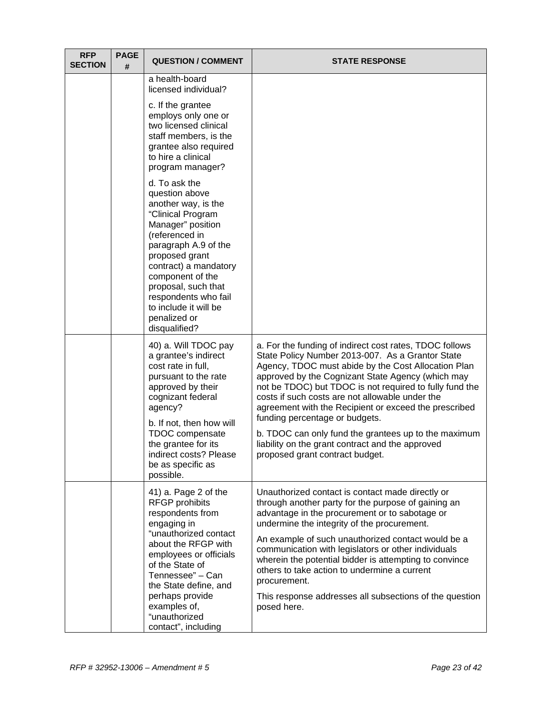| <b>RFP</b><br><b>SECTION</b> | <b>PAGE</b><br># | <b>QUESTION / COMMENT</b>                                                                                                                                                                                                                                                                                          | <b>STATE RESPONSE</b>                                                                                                                                                                                                                                                                                                                                                                                                                                                                                                     |
|------------------------------|------------------|--------------------------------------------------------------------------------------------------------------------------------------------------------------------------------------------------------------------------------------------------------------------------------------------------------------------|---------------------------------------------------------------------------------------------------------------------------------------------------------------------------------------------------------------------------------------------------------------------------------------------------------------------------------------------------------------------------------------------------------------------------------------------------------------------------------------------------------------------------|
|                              |                  | a health-board<br>licensed individual?                                                                                                                                                                                                                                                                             |                                                                                                                                                                                                                                                                                                                                                                                                                                                                                                                           |
|                              |                  | c. If the grantee<br>employs only one or<br>two licensed clinical<br>staff members, is the<br>grantee also required<br>to hire a clinical<br>program manager?                                                                                                                                                      |                                                                                                                                                                                                                                                                                                                                                                                                                                                                                                                           |
|                              |                  | d. To ask the<br>question above<br>another way, is the<br>"Clinical Program<br>Manager" position<br>(referenced in<br>paragraph A.9 of the<br>proposed grant<br>contract) a mandatory<br>component of the<br>proposal, such that<br>respondents who fail<br>to include it will be<br>penalized or<br>disqualified? |                                                                                                                                                                                                                                                                                                                                                                                                                                                                                                                           |
|                              |                  | 40) a. Will TDOC pay<br>a grantee's indirect<br>cost rate in full,<br>pursuant to the rate<br>approved by their<br>cognizant federal<br>agency?<br>b. If not, then how will                                                                                                                                        | a. For the funding of indirect cost rates, TDOC follows<br>State Policy Number 2013-007. As a Grantor State<br>Agency, TDOC must abide by the Cost Allocation Plan<br>approved by the Cognizant State Agency (which may<br>not be TDOC) but TDOC is not required to fully fund the<br>costs if such costs are not allowable under the<br>agreement with the Recipient or exceed the prescribed<br>funding percentage or budgets.                                                                                          |
|                              |                  | TDOC compensate<br>the grantee for its<br>indirect costs? Please<br>be as specific as<br>possible.                                                                                                                                                                                                                 | b. TDOC can only fund the grantees up to the maximum<br>liability on the grant contract and the approved<br>proposed grant contract budget.                                                                                                                                                                                                                                                                                                                                                                               |
|                              |                  | 41) a. Page 2 of the<br><b>RFGP prohibits</b><br>respondents from<br>engaging in<br>"unauthorized contact<br>about the RFGP with<br>employees or officials<br>of the State of<br>Tennessee" - Can<br>the State define, and<br>perhaps provide<br>examples of,<br>"unauthorized<br>contact", including              | Unauthorized contact is contact made directly or<br>through another party for the purpose of gaining an<br>advantage in the procurement or to sabotage or<br>undermine the integrity of the procurement.<br>An example of such unauthorized contact would be a<br>communication with legislators or other individuals<br>wherein the potential bidder is attempting to convince<br>others to take action to undermine a current<br>procurement.<br>This response addresses all subsections of the question<br>posed here. |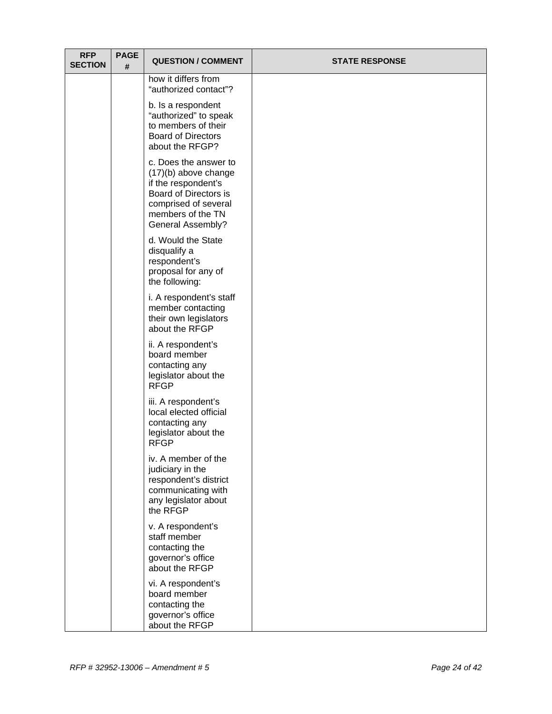| <b>RFP</b><br><b>SECTION</b> | <b>PAGE</b><br># | <b>QUESTION / COMMENT</b>                                                                                                                                                | <b>STATE RESPONSE</b> |
|------------------------------|------------------|--------------------------------------------------------------------------------------------------------------------------------------------------------------------------|-----------------------|
|                              |                  | how it differs from<br>"authorized contact"?                                                                                                                             |                       |
|                              |                  | b. Is a respondent<br>"authorized" to speak<br>to members of their<br><b>Board of Directors</b><br>about the RFGP?                                                       |                       |
|                              |                  | c. Does the answer to<br>$(17)(b)$ above change<br>if the respondent's<br>Board of Directors is<br>comprised of several<br>members of the TN<br><b>General Assembly?</b> |                       |
|                              |                  | d. Would the State<br>disqualify a<br>respondent's<br>proposal for any of<br>the following:                                                                              |                       |
|                              |                  | i. A respondent's staff<br>member contacting<br>their own legislators<br>about the RFGP                                                                                  |                       |
|                              |                  | ii. A respondent's<br>board member<br>contacting any<br>legislator about the<br><b>RFGP</b>                                                                              |                       |
|                              |                  | iii. A respondent's<br>local elected official<br>contacting any<br>legislator about the<br><b>RFGP</b>                                                                   |                       |
|                              |                  | iv. A member of the<br>judiciary in the<br>respondent's district<br>communicating with<br>any legislator about<br>the RFGP                                               |                       |
|                              |                  | v. A respondent's<br>staff member<br>contacting the<br>governor's office<br>about the RFGP                                                                               |                       |
|                              |                  | vi. A respondent's<br>board member<br>contacting the<br>governor's office<br>about the RFGP                                                                              |                       |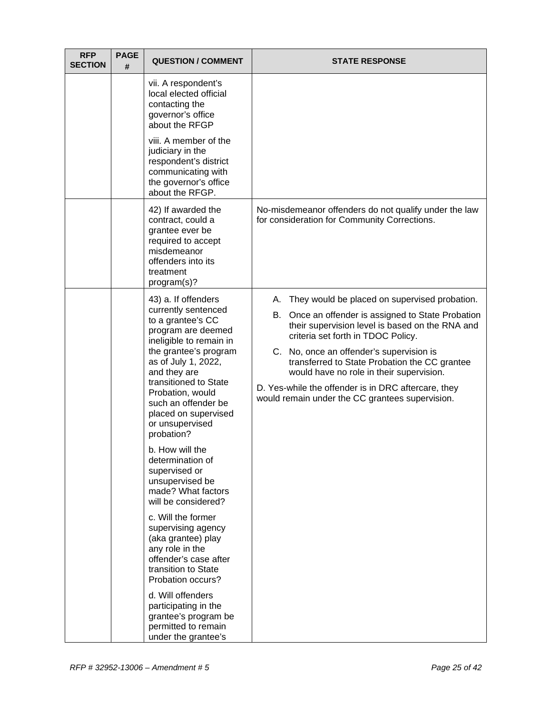| <b>RFP</b><br><b>SECTION</b> | <b>PAGE</b><br># | <b>QUESTION / COMMENT</b>                                                                                                                                                                                                                                                                                     | <b>STATE RESPONSE</b>                                                                                                                                                                                                                                                                                                                                                                                                                                    |
|------------------------------|------------------|---------------------------------------------------------------------------------------------------------------------------------------------------------------------------------------------------------------------------------------------------------------------------------------------------------------|----------------------------------------------------------------------------------------------------------------------------------------------------------------------------------------------------------------------------------------------------------------------------------------------------------------------------------------------------------------------------------------------------------------------------------------------------------|
|                              |                  | vii. A respondent's<br>local elected official<br>contacting the<br>governor's office<br>about the RFGP                                                                                                                                                                                                        |                                                                                                                                                                                                                                                                                                                                                                                                                                                          |
|                              |                  | viii. A member of the<br>judiciary in the<br>respondent's district<br>communicating with<br>the governor's office<br>about the RFGP.                                                                                                                                                                          |                                                                                                                                                                                                                                                                                                                                                                                                                                                          |
|                              |                  | 42) If awarded the<br>contract, could a<br>grantee ever be<br>required to accept<br>misdemeanor<br>offenders into its<br>treatment<br>program(s)?                                                                                                                                                             | No-misdemeanor offenders do not qualify under the law<br>for consideration for Community Corrections.                                                                                                                                                                                                                                                                                                                                                    |
|                              |                  | 43) a. If offenders<br>currently sentenced<br>to a grantee's CC<br>program are deemed<br>ineligible to remain in<br>the grantee's program<br>as of July 1, 2022,<br>and they are<br>transitioned to State<br>Probation, would<br>such an offender be<br>placed on supervised<br>or unsupervised<br>probation? | They would be placed on supervised probation.<br>А.<br>В.<br>Once an offender is assigned to State Probation<br>their supervision level is based on the RNA and<br>criteria set forth in TDOC Policy.<br>C. No, once an offender's supervision is<br>transferred to State Probation the CC grantee<br>would have no role in their supervision.<br>D. Yes-while the offender is in DRC aftercare, they<br>would remain under the CC grantees supervision. |
|                              |                  | b. How will the<br>determination of<br>supervised or<br>unsupervised be<br>made? What factors<br>will be considered?                                                                                                                                                                                          |                                                                                                                                                                                                                                                                                                                                                                                                                                                          |
|                              |                  | c. Will the former<br>supervising agency<br>(aka grantee) play<br>any role in the<br>offender's case after<br>transition to State<br>Probation occurs?                                                                                                                                                        |                                                                                                                                                                                                                                                                                                                                                                                                                                                          |
|                              |                  | d. Will offenders<br>participating in the<br>grantee's program be<br>permitted to remain<br>under the grantee's                                                                                                                                                                                               |                                                                                                                                                                                                                                                                                                                                                                                                                                                          |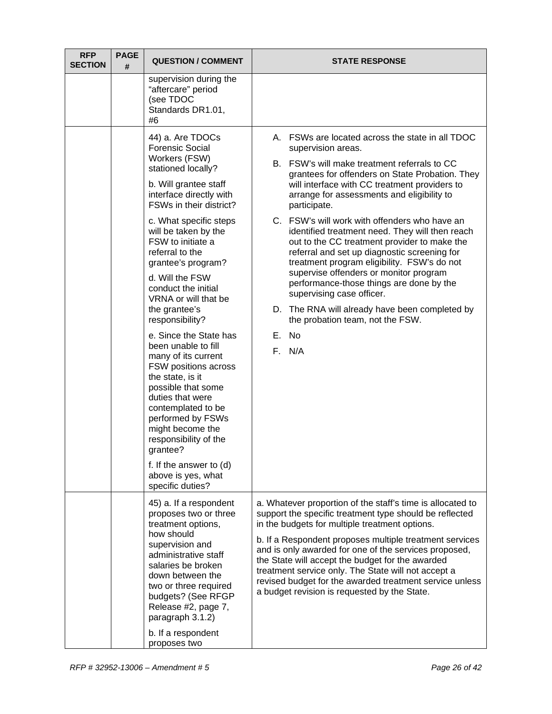| <b>RFP</b><br><b>SECTION</b> | <b>PAGE</b><br># | <b>QUESTION / COMMENT</b>                                                                                                                                                                                                                                                                                                                                                                                                                                                                                                                                                                                                                                                                                                     | <b>STATE RESPONSE</b>                                                                                                                                                                                                                                                                                                                                                                                                                                                                                                                                                                                                                                                                                                                                                   |
|------------------------------|------------------|-------------------------------------------------------------------------------------------------------------------------------------------------------------------------------------------------------------------------------------------------------------------------------------------------------------------------------------------------------------------------------------------------------------------------------------------------------------------------------------------------------------------------------------------------------------------------------------------------------------------------------------------------------------------------------------------------------------------------------|-------------------------------------------------------------------------------------------------------------------------------------------------------------------------------------------------------------------------------------------------------------------------------------------------------------------------------------------------------------------------------------------------------------------------------------------------------------------------------------------------------------------------------------------------------------------------------------------------------------------------------------------------------------------------------------------------------------------------------------------------------------------------|
|                              |                  | supervision during the<br>"aftercare" period<br>(see TDOC<br>Standards DR1.01,<br>#6                                                                                                                                                                                                                                                                                                                                                                                                                                                                                                                                                                                                                                          |                                                                                                                                                                                                                                                                                                                                                                                                                                                                                                                                                                                                                                                                                                                                                                         |
|                              |                  | 44) a. Are TDOCs<br><b>Forensic Social</b><br>Workers (FSW)<br>stationed locally?<br>b. Will grantee staff<br>interface directly with<br>FSWs in their district?<br>c. What specific steps<br>will be taken by the<br>FSW to initiate a<br>referral to the<br>grantee's program?<br>d. Will the FSW<br>conduct the initial<br>VRNA or will that be<br>the grantee's<br>responsibility?<br>e. Since the State has<br>been unable to fill<br>many of its current<br>FSW positions across<br>the state, is it<br>possible that some<br>duties that were<br>contemplated to be<br>performed by FSWs<br>might become the<br>responsibility of the<br>grantee?<br>f. If the answer to (d)<br>above is yes, what<br>specific duties? | A. FSWs are located across the state in all TDOC<br>supervision areas.<br>B. FSW's will make treatment referrals to CC<br>grantees for offenders on State Probation. They<br>will interface with CC treatment providers to<br>arrange for assessments and eligibility to<br>participate.<br>C. FSW's will work with offenders who have an<br>identified treatment need. They will then reach<br>out to the CC treatment provider to make the<br>referral and set up diagnostic screening for<br>treatment program eligibility. FSW's do not<br>supervise offenders or monitor program<br>performance-those things are done by the<br>supervising case officer.<br>D. The RNA will already have been completed by<br>the probation team, not the FSW.<br>E. No<br>F. N/A |
|                              |                  | 45) a. If a respondent<br>proposes two or three<br>treatment options,<br>how should<br>supervision and<br>administrative staff<br>salaries be broken<br>down between the<br>two or three required<br>budgets? (See RFGP<br>Release #2, page 7,<br>paragraph 3.1.2)<br>b. If a respondent<br>proposes two                                                                                                                                                                                                                                                                                                                                                                                                                      | a. Whatever proportion of the staff's time is allocated to<br>support the specific treatment type should be reflected<br>in the budgets for multiple treatment options.<br>b. If a Respondent proposes multiple treatment services<br>and is only awarded for one of the services proposed,<br>the State will accept the budget for the awarded<br>treatment service only. The State will not accept a<br>revised budget for the awarded treatment service unless<br>a budget revision is requested by the State.                                                                                                                                                                                                                                                       |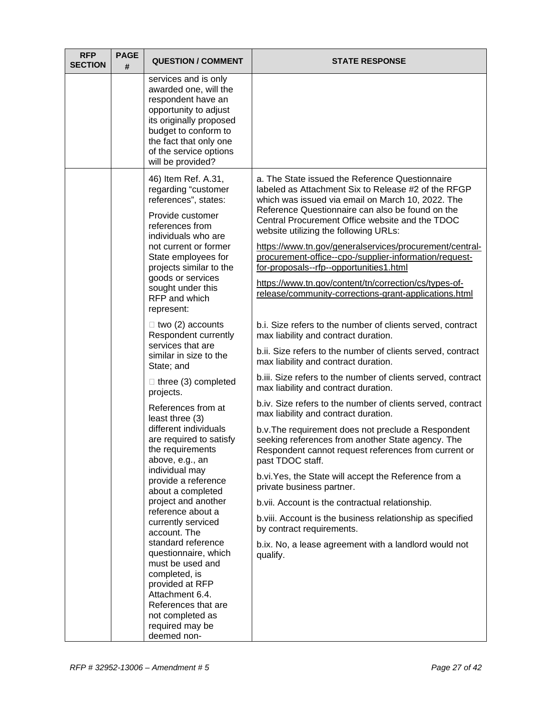| services and is only<br>awarded one, will the<br>respondent have an<br>opportunity to adjust<br>its originally proposed<br>budget to conform to<br>the fact that only one<br>of the service options<br>will be provided?<br>46) Item Ref. A.31,<br>a. The State issued the Reference Questionnaire<br>regarding "customer<br>labeled as Attachment Six to Release #2 of the RFGP<br>references", states:<br>which was issued via email on March 10, 2022. The<br>Reference Questionnaire can also be found on the<br>Provide customer<br>Central Procurement Office website and the TDOC<br>references from<br>website utilizing the following URLs:<br>individuals who are<br>not current or former<br>https://www.tn.gov/generalservices/procurement/central-<br>procurement-office--cpo-/supplier-information/request-<br>State employees for<br>projects similar to the<br>for-proposals--rfp--opportunities1.html<br>goods or services<br>https://www.tn.gov/content/tn/correction/cs/types-of-<br>sought under this<br>release/community-corrections-grant-applications.html<br>RFP and which<br>represent:<br>$\Box$ two (2) accounts<br>b.i. Size refers to the number of clients served, contract<br>Respondent currently<br>max liability and contract duration.<br>services that are<br>b.ii. Size refers to the number of clients served, contract<br>similar in size to the<br>max liability and contract duration.<br>State; and<br>b.iii. Size refers to the number of clients served, contract<br>$\Box$ three (3) completed<br>max liability and contract duration.<br>projects.<br>References from at<br>max liability and contract duration.<br>least three (3)<br>different individuals<br>b.v. The requirement does not preclude a Respondent<br>are required to satisfy<br>seeking references from another State agency. The<br>the requirements<br>Respondent cannot request references from current or<br>past TDOC staff.<br>above, e.g., an<br>individual may<br>b.vi. Yes, the State will accept the Reference from a<br>provide a reference<br>private business partner.<br>about a completed<br>project and another<br>b.vii. Account is the contractual relationship.<br>reference about a<br>b. viii. Account is the business relationship as specified<br>currently serviced<br>by contract requirements.<br>account. The<br>standard reference<br>b.ix. No, a lease agreement with a landlord would not<br>questionnaire, which<br>qualify.<br>must be used and<br>completed, is<br>provided at RFP<br>Attachment 6.4.<br>References that are<br>not completed as<br>required may be | <b>RFP</b><br><b>SECTION</b> | <b>PAGE</b><br># | <b>QUESTION / COMMENT</b> | <b>STATE RESPONSE</b>                                       |
|-----------------------------------------------------------------------------------------------------------------------------------------------------------------------------------------------------------------------------------------------------------------------------------------------------------------------------------------------------------------------------------------------------------------------------------------------------------------------------------------------------------------------------------------------------------------------------------------------------------------------------------------------------------------------------------------------------------------------------------------------------------------------------------------------------------------------------------------------------------------------------------------------------------------------------------------------------------------------------------------------------------------------------------------------------------------------------------------------------------------------------------------------------------------------------------------------------------------------------------------------------------------------------------------------------------------------------------------------------------------------------------------------------------------------------------------------------------------------------------------------------------------------------------------------------------------------------------------------------------------------------------------------------------------------------------------------------------------------------------------------------------------------------------------------------------------------------------------------------------------------------------------------------------------------------------------------------------------------------------------------------------------------------------------------------------------------------------------------------------------------------------------------------------------------------------------------------------------------------------------------------------------------------------------------------------------------------------------------------------------------------------------------------------------------------------------------------------------------------------------------------------------------------------------------------------------------------------------------------------------------|------------------------------|------------------|---------------------------|-------------------------------------------------------------|
|                                                                                                                                                                                                                                                                                                                                                                                                                                                                                                                                                                                                                                                                                                                                                                                                                                                                                                                                                                                                                                                                                                                                                                                                                                                                                                                                                                                                                                                                                                                                                                                                                                                                                                                                                                                                                                                                                                                                                                                                                                                                                                                                                                                                                                                                                                                                                                                                                                                                                                                                                                                                                       |                              |                  |                           |                                                             |
|                                                                                                                                                                                                                                                                                                                                                                                                                                                                                                                                                                                                                                                                                                                                                                                                                                                                                                                                                                                                                                                                                                                                                                                                                                                                                                                                                                                                                                                                                                                                                                                                                                                                                                                                                                                                                                                                                                                                                                                                                                                                                                                                                                                                                                                                                                                                                                                                                                                                                                                                                                                                                       |                              |                  |                           |                                                             |
|                                                                                                                                                                                                                                                                                                                                                                                                                                                                                                                                                                                                                                                                                                                                                                                                                                                                                                                                                                                                                                                                                                                                                                                                                                                                                                                                                                                                                                                                                                                                                                                                                                                                                                                                                                                                                                                                                                                                                                                                                                                                                                                                                                                                                                                                                                                                                                                                                                                                                                                                                                                                                       |                              |                  |                           |                                                             |
|                                                                                                                                                                                                                                                                                                                                                                                                                                                                                                                                                                                                                                                                                                                                                                                                                                                                                                                                                                                                                                                                                                                                                                                                                                                                                                                                                                                                                                                                                                                                                                                                                                                                                                                                                                                                                                                                                                                                                                                                                                                                                                                                                                                                                                                                                                                                                                                                                                                                                                                                                                                                                       |                              |                  |                           |                                                             |
|                                                                                                                                                                                                                                                                                                                                                                                                                                                                                                                                                                                                                                                                                                                                                                                                                                                                                                                                                                                                                                                                                                                                                                                                                                                                                                                                                                                                                                                                                                                                                                                                                                                                                                                                                                                                                                                                                                                                                                                                                                                                                                                                                                                                                                                                                                                                                                                                                                                                                                                                                                                                                       |                              |                  |                           | b.iv. Size refers to the number of clients served, contract |
|                                                                                                                                                                                                                                                                                                                                                                                                                                                                                                                                                                                                                                                                                                                                                                                                                                                                                                                                                                                                                                                                                                                                                                                                                                                                                                                                                                                                                                                                                                                                                                                                                                                                                                                                                                                                                                                                                                                                                                                                                                                                                                                                                                                                                                                                                                                                                                                                                                                                                                                                                                                                                       |                              |                  |                           |                                                             |
|                                                                                                                                                                                                                                                                                                                                                                                                                                                                                                                                                                                                                                                                                                                                                                                                                                                                                                                                                                                                                                                                                                                                                                                                                                                                                                                                                                                                                                                                                                                                                                                                                                                                                                                                                                                                                                                                                                                                                                                                                                                                                                                                                                                                                                                                                                                                                                                                                                                                                                                                                                                                                       |                              |                  |                           |                                                             |
|                                                                                                                                                                                                                                                                                                                                                                                                                                                                                                                                                                                                                                                                                                                                                                                                                                                                                                                                                                                                                                                                                                                                                                                                                                                                                                                                                                                                                                                                                                                                                                                                                                                                                                                                                                                                                                                                                                                                                                                                                                                                                                                                                                                                                                                                                                                                                                                                                                                                                                                                                                                                                       |                              |                  |                           |                                                             |
|                                                                                                                                                                                                                                                                                                                                                                                                                                                                                                                                                                                                                                                                                                                                                                                                                                                                                                                                                                                                                                                                                                                                                                                                                                                                                                                                                                                                                                                                                                                                                                                                                                                                                                                                                                                                                                                                                                                                                                                                                                                                                                                                                                                                                                                                                                                                                                                                                                                                                                                                                                                                                       |                              |                  |                           |                                                             |
| deemed non-                                                                                                                                                                                                                                                                                                                                                                                                                                                                                                                                                                                                                                                                                                                                                                                                                                                                                                                                                                                                                                                                                                                                                                                                                                                                                                                                                                                                                                                                                                                                                                                                                                                                                                                                                                                                                                                                                                                                                                                                                                                                                                                                                                                                                                                                                                                                                                                                                                                                                                                                                                                                           |                              |                  |                           |                                                             |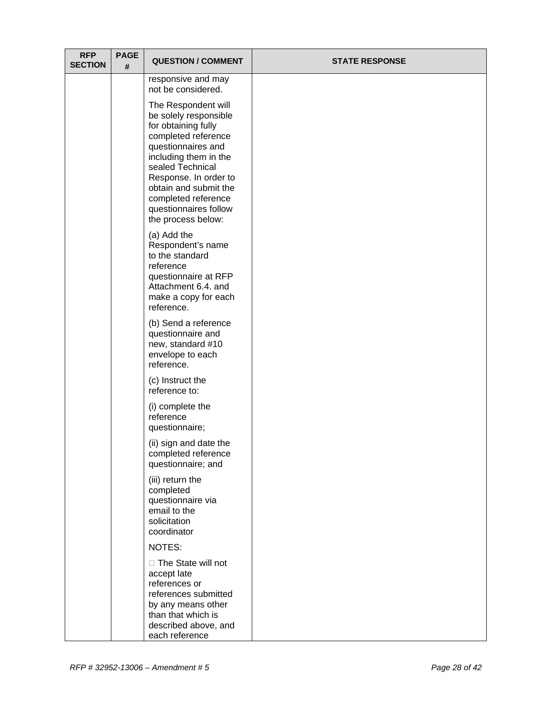| <b>RFP</b><br><b>SECTION</b> | <b>PAGE</b><br># | <b>QUESTION / COMMENT</b>                                                                                                                                                                                                                                                             | <b>STATE RESPONSE</b> |
|------------------------------|------------------|---------------------------------------------------------------------------------------------------------------------------------------------------------------------------------------------------------------------------------------------------------------------------------------|-----------------------|
|                              |                  | responsive and may<br>not be considered.                                                                                                                                                                                                                                              |                       |
|                              |                  | The Respondent will<br>be solely responsible<br>for obtaining fully<br>completed reference<br>questionnaires and<br>including them in the<br>sealed Technical<br>Response. In order to<br>obtain and submit the<br>completed reference<br>questionnaires follow<br>the process below: |                       |
|                              |                  | (a) Add the<br>Respondent's name<br>to the standard<br>reference<br>questionnaire at RFP<br>Attachment 6.4. and<br>make a copy for each<br>reference.                                                                                                                                 |                       |
|                              |                  | (b) Send a reference<br>questionnaire and<br>new, standard #10<br>envelope to each<br>reference.                                                                                                                                                                                      |                       |
|                              |                  | (c) Instruct the<br>reference to:                                                                                                                                                                                                                                                     |                       |
|                              |                  | (i) complete the<br>reference<br>questionnaire;                                                                                                                                                                                                                                       |                       |
|                              |                  | (ii) sign and date the<br>completed reference<br>questionnaire; and                                                                                                                                                                                                                   |                       |
|                              |                  | (iii) return the<br>completed<br>questionnaire via<br>email to the<br>solicitation<br>coordinator                                                                                                                                                                                     |                       |
|                              |                  | NOTES:                                                                                                                                                                                                                                                                                |                       |
|                              |                  | □ The State will not<br>accept late<br>references or<br>references submitted<br>by any means other<br>than that which is<br>described above, and<br>each reference                                                                                                                    |                       |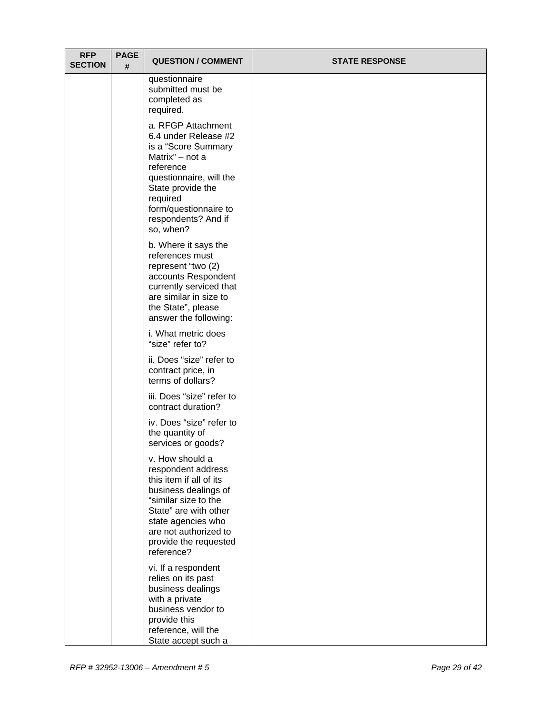| <b>RFP</b><br><b>SECTION</b> | <b>PAGE</b><br># | <b>QUESTION / COMMENT</b>                                                                                                                                                                                                       | <b>STATE RESPONSE</b> |
|------------------------------|------------------|---------------------------------------------------------------------------------------------------------------------------------------------------------------------------------------------------------------------------------|-----------------------|
|                              |                  | questionnaire<br>submitted must be<br>completed as<br>required.                                                                                                                                                                 |                       |
|                              |                  | a. RFGP Attachment<br>6.4 under Release #2<br>is a "Score Summary<br>Matrix" - not a<br>reference<br>questionnaire, will the<br>State provide the<br>required<br>form/questionnaire to<br>respondents? And if<br>so, when?      |                       |
|                              |                  | b. Where it says the<br>references must<br>represent "two (2)<br>accounts Respondent<br>currently serviced that<br>are similar in size to<br>the State", please<br>answer the following:                                        |                       |
|                              |                  | i. What metric does<br>"size" refer to?                                                                                                                                                                                         |                       |
|                              |                  | ii. Does "size" refer to<br>contract price, in<br>terms of dollars?                                                                                                                                                             |                       |
|                              |                  | iii. Does "size" refer to<br>contract duration?                                                                                                                                                                                 |                       |
|                              |                  | iv. Does "size" refer to<br>the quantity of<br>services or goods?                                                                                                                                                               |                       |
|                              |                  | v. How should a<br>respondent address<br>this item if all of its<br>business dealings of<br>"similar size to the<br>State" are with other<br>state agencies who<br>are not authorized to<br>provide the requested<br>reference? |                       |
|                              |                  | vi. If a respondent<br>relies on its past<br>business dealings<br>with a private<br>business vendor to<br>provide this<br>reference, will the<br>State accept such a                                                            |                       |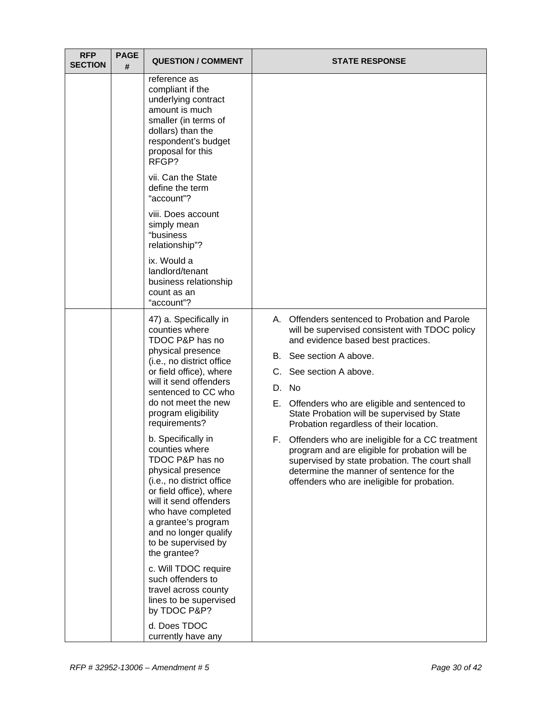| <b>RFP</b><br><b>SECTION</b> | <b>PAGE</b><br># | <b>QUESTION / COMMENT</b>                                                                                                                                                                                                                                                   |    | <b>STATE RESPONSE</b>                                                                                                                                                                                                                          |
|------------------------------|------------------|-----------------------------------------------------------------------------------------------------------------------------------------------------------------------------------------------------------------------------------------------------------------------------|----|------------------------------------------------------------------------------------------------------------------------------------------------------------------------------------------------------------------------------------------------|
|                              |                  | reference as<br>compliant if the<br>underlying contract<br>amount is much<br>smaller (in terms of<br>dollars) than the<br>respondent's budget<br>proposal for this<br>RFGP?                                                                                                 |    |                                                                                                                                                                                                                                                |
|                              |                  | vii. Can the State<br>define the term<br>"account"?                                                                                                                                                                                                                         |    |                                                                                                                                                                                                                                                |
|                              |                  | viii. Does account<br>simply mean<br>"business<br>relationship"?                                                                                                                                                                                                            |    |                                                                                                                                                                                                                                                |
|                              |                  | ix. Would a<br>landlord/tenant<br>business relationship<br>count as an<br>"account"?                                                                                                                                                                                        |    |                                                                                                                                                                                                                                                |
|                              |                  | 47) a. Specifically in<br>counties where<br>TDOC P&P has no<br>physical presence                                                                                                                                                                                            |    | A. Offenders sentenced to Probation and Parole<br>will be supervised consistent with TDOC policy<br>and evidence based best practices.                                                                                                         |
|                              |                  | (i.e., no district office                                                                                                                                                                                                                                                   |    | B. See section A above.                                                                                                                                                                                                                        |
|                              |                  | or field office), where<br>will it send offenders<br>sentenced to CC who                                                                                                                                                                                                    |    | C. See section A above.                                                                                                                                                                                                                        |
|                              |                  |                                                                                                                                                                                                                                                                             |    | D. No                                                                                                                                                                                                                                          |
|                              |                  | do not meet the new<br>program eligibility<br>requirements?                                                                                                                                                                                                                 |    | E. Offenders who are eligible and sentenced to<br>State Probation will be supervised by State<br>Probation regardless of their location.                                                                                                       |
|                              |                  | b. Specifically in<br>counties where<br>TDOC P&P has no<br>physical presence<br>(i.e., no district office<br>or field office), where<br>will it send offenders<br>who have completed<br>a grantee's program<br>and no longer qualify<br>to be supervised by<br>the grantee? | F. | Offenders who are ineligible for a CC treatment<br>program and are eligible for probation will be<br>supervised by state probation. The court shall<br>determine the manner of sentence for the<br>offenders who are ineligible for probation. |
|                              |                  | c. Will TDOC require<br>such offenders to<br>travel across county<br>lines to be supervised<br>by TDOC P&P?                                                                                                                                                                 |    |                                                                                                                                                                                                                                                |
|                              |                  | d. Does TDOC<br>currently have any                                                                                                                                                                                                                                          |    |                                                                                                                                                                                                                                                |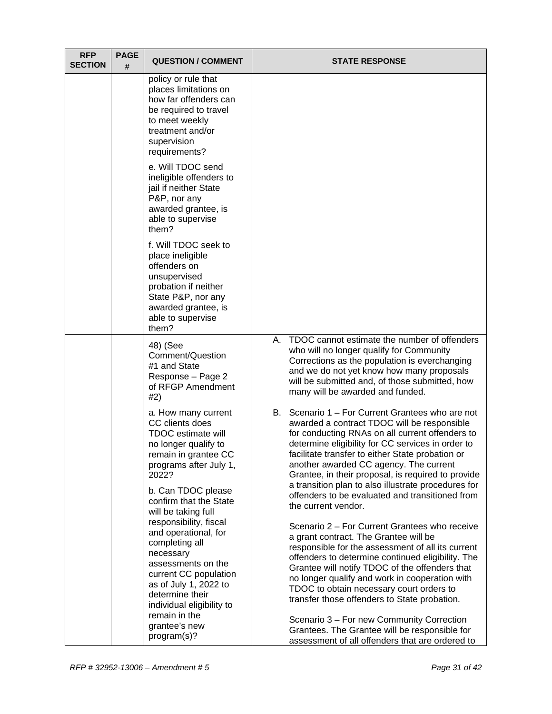| <b>RFP</b><br><b>SECTION</b> | <b>PAGE</b><br># | <b>QUESTION / COMMENT</b>                                                                                                                                                                                                                              |    | <b>STATE RESPONSE</b>                                                                                                                                                                                                                                                                                                                                                                                                                                                                                                                             |
|------------------------------|------------------|--------------------------------------------------------------------------------------------------------------------------------------------------------------------------------------------------------------------------------------------------------|----|---------------------------------------------------------------------------------------------------------------------------------------------------------------------------------------------------------------------------------------------------------------------------------------------------------------------------------------------------------------------------------------------------------------------------------------------------------------------------------------------------------------------------------------------------|
|                              |                  | policy or rule that<br>places limitations on<br>how far offenders can<br>be required to travel<br>to meet weekly<br>treatment and/or<br>supervision<br>requirements?                                                                                   |    |                                                                                                                                                                                                                                                                                                                                                                                                                                                                                                                                                   |
|                              |                  | e. Will TDOC send<br>ineligible offenders to<br>jail if neither State<br>P&P, nor any<br>awarded grantee, is<br>able to supervise<br>them?                                                                                                             |    |                                                                                                                                                                                                                                                                                                                                                                                                                                                                                                                                                   |
|                              |                  | f. Will TDOC seek to<br>place ineligible<br>offenders on<br>unsupervised<br>probation if neither<br>State P&P, nor any<br>awarded grantee, is<br>able to supervise<br>them?                                                                            |    |                                                                                                                                                                                                                                                                                                                                                                                                                                                                                                                                                   |
|                              |                  | 48) (See<br>Comment/Question<br>#1 and State<br>Response - Page 2<br>of RFGP Amendment<br>#2)                                                                                                                                                          | А. | TDOC cannot estimate the number of offenders<br>who will no longer qualify for Community<br>Corrections as the population is everchanging<br>and we do not yet know how many proposals<br>will be submitted and, of those submitted, how<br>many will be awarded and funded.                                                                                                                                                                                                                                                                      |
|                              |                  | a. How many current<br>CC clients does<br><b>TDOC</b> estimate will<br>no longer qualify to<br>remain in grantee CC<br>programs after July 1,<br>2022?<br>b. Can TDOC please<br>confirm that the State<br>will be taking full                          | В. | Scenario 1 – For Current Grantees who are not<br>awarded a contract TDOC will be responsible<br>for conducting RNAs on all current offenders to<br>determine eligibility for CC services in order to<br>facilitate transfer to either State probation or<br>another awarded CC agency. The current<br>Grantee, in their proposal, is required to provide<br>a transition plan to also illustrate procedures for<br>offenders to be evaluated and transitioned from<br>the current vendor.                                                         |
|                              |                  | responsibility, fiscal<br>and operational, for<br>completing all<br>necessary<br>assessments on the<br>current CC population<br>as of July 1, 2022 to<br>determine their<br>individual eligibility to<br>remain in the<br>grantee's new<br>program(s)? |    | Scenario 2 - For Current Grantees who receive<br>a grant contract. The Grantee will be<br>responsible for the assessment of all its current<br>offenders to determine continued eligibility. The<br>Grantee will notify TDOC of the offenders that<br>no longer qualify and work in cooperation with<br>TDOC to obtain necessary court orders to<br>transfer those offenders to State probation.<br>Scenario 3 - For new Community Correction<br>Grantees. The Grantee will be responsible for<br>assessment of all offenders that are ordered to |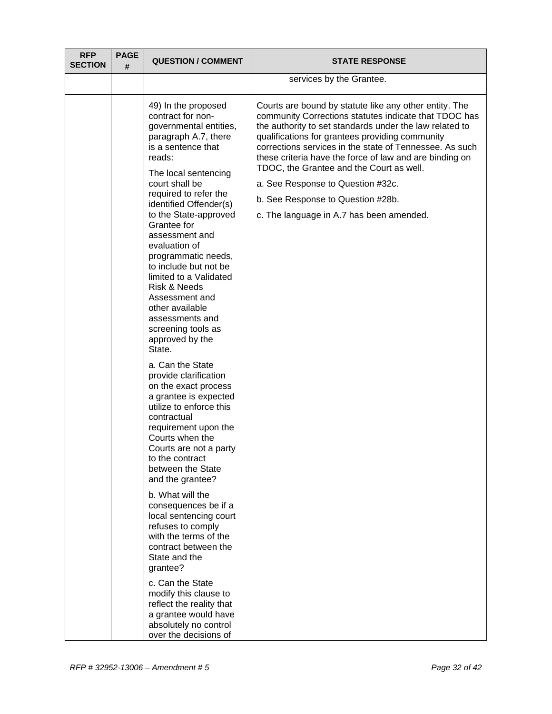| <b>RFP</b><br><b>SECTION</b> | <b>PAGE</b><br># | <b>QUESTION / COMMENT</b>                                                                                                                                                                                                                                                                                                                                                                                                                                                                                                                                                                                                                                                                                                                                                                                                                                                                                                                                                                                                                                             | <b>STATE RESPONSE</b>                                                                                                                                                                                                                                                                                                                                                                                                                                                                                                 |
|------------------------------|------------------|-----------------------------------------------------------------------------------------------------------------------------------------------------------------------------------------------------------------------------------------------------------------------------------------------------------------------------------------------------------------------------------------------------------------------------------------------------------------------------------------------------------------------------------------------------------------------------------------------------------------------------------------------------------------------------------------------------------------------------------------------------------------------------------------------------------------------------------------------------------------------------------------------------------------------------------------------------------------------------------------------------------------------------------------------------------------------|-----------------------------------------------------------------------------------------------------------------------------------------------------------------------------------------------------------------------------------------------------------------------------------------------------------------------------------------------------------------------------------------------------------------------------------------------------------------------------------------------------------------------|
|                              |                  |                                                                                                                                                                                                                                                                                                                                                                                                                                                                                                                                                                                                                                                                                                                                                                                                                                                                                                                                                                                                                                                                       | services by the Grantee.                                                                                                                                                                                                                                                                                                                                                                                                                                                                                              |
|                              |                  | 49) In the proposed<br>contract for non-<br>governmental entities,<br>paragraph A.7, there<br>is a sentence that<br>reads:<br>The local sentencing<br>court shall be<br>required to refer the<br>identified Offender(s)<br>to the State-approved<br>Grantee for<br>assessment and<br>evaluation of<br>programmatic needs,<br>to include but not be<br>limited to a Validated<br><b>Risk &amp; Needs</b><br>Assessment and<br>other available<br>assessments and<br>screening tools as<br>approved by the<br>State.<br>a. Can the State<br>provide clarification<br>on the exact process<br>a grantee is expected<br>utilize to enforce this<br>contractual<br>requirement upon the<br>Courts when the<br>Courts are not a party<br>to the contract<br>between the State<br>and the grantee?<br>b. What will the<br>consequences be if a<br>local sentencing court<br>refuses to comply<br>with the terms of the<br>contract between the<br>State and the<br>grantee?<br>c. Can the State<br>modify this clause to<br>reflect the reality that<br>a grantee would have | Courts are bound by statute like any other entity. The<br>community Corrections statutes indicate that TDOC has<br>the authority to set standards under the law related to<br>qualifications for grantees providing community<br>corrections services in the state of Tennessee. As such<br>these criteria have the force of law and are binding on<br>TDOC, the Grantee and the Court as well.<br>a. See Response to Question #32c.<br>b. See Response to Question #28b.<br>c. The language in A.7 has been amended. |
|                              |                  | absolutely no control<br>over the decisions of                                                                                                                                                                                                                                                                                                                                                                                                                                                                                                                                                                                                                                                                                                                                                                                                                                                                                                                                                                                                                        |                                                                                                                                                                                                                                                                                                                                                                                                                                                                                                                       |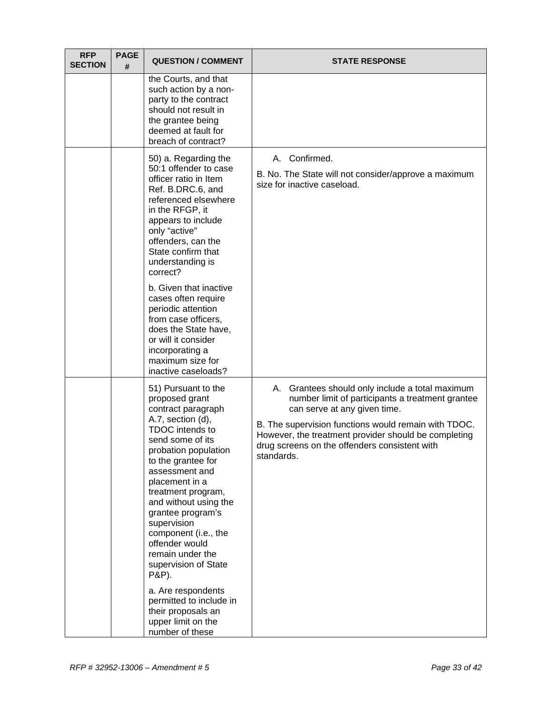| <b>RFP</b><br><b>SECTION</b> | <b>PAGE</b><br># | <b>QUESTION / COMMENT</b>                                                                                                                                                                                                                                                                                                                                                                   | <b>STATE RESPONSE</b>                                                                                                                                                                                                                                                                                              |
|------------------------------|------------------|---------------------------------------------------------------------------------------------------------------------------------------------------------------------------------------------------------------------------------------------------------------------------------------------------------------------------------------------------------------------------------------------|--------------------------------------------------------------------------------------------------------------------------------------------------------------------------------------------------------------------------------------------------------------------------------------------------------------------|
|                              |                  | the Courts, and that<br>such action by a non-<br>party to the contract<br>should not result in<br>the grantee being<br>deemed at fault for<br>breach of contract?                                                                                                                                                                                                                           |                                                                                                                                                                                                                                                                                                                    |
|                              |                  | 50) a. Regarding the<br>50:1 offender to case<br>officer ratio in Item<br>Ref. B.DRC.6, and<br>referenced elsewhere<br>in the RFGP, it<br>appears to include<br>only "active"<br>offenders, can the<br>State confirm that<br>understanding is<br>correct?                                                                                                                                   | A. Confirmed.<br>B. No. The State will not consider/approve a maximum<br>size for inactive caseload.                                                                                                                                                                                                               |
|                              |                  | b. Given that inactive<br>cases often require<br>periodic attention<br>from case officers,<br>does the State have,<br>or will it consider<br>incorporating a<br>maximum size for<br>inactive caseloads?                                                                                                                                                                                     |                                                                                                                                                                                                                                                                                                                    |
|                              |                  | 51) Pursuant to the<br>proposed grant<br>contract paragraph<br>A.7, section (d),<br>TDOC intends to<br>send some of its<br>probation population<br>to the grantee for<br>assessment and<br>placement in a<br>treatment program,<br>and without using the<br>grantee program's<br>supervision<br>component (i.e., the<br>offender would<br>remain under the<br>supervision of State<br>P&P). | A. Grantees should only include a total maximum<br>number limit of participants a treatment grantee<br>can serve at any given time.<br>B. The supervision functions would remain with TDOC.<br>However, the treatment provider should be completing<br>drug screens on the offenders consistent with<br>standards. |
|                              |                  | a. Are respondents<br>permitted to include in<br>their proposals an<br>upper limit on the<br>number of these                                                                                                                                                                                                                                                                                |                                                                                                                                                                                                                                                                                                                    |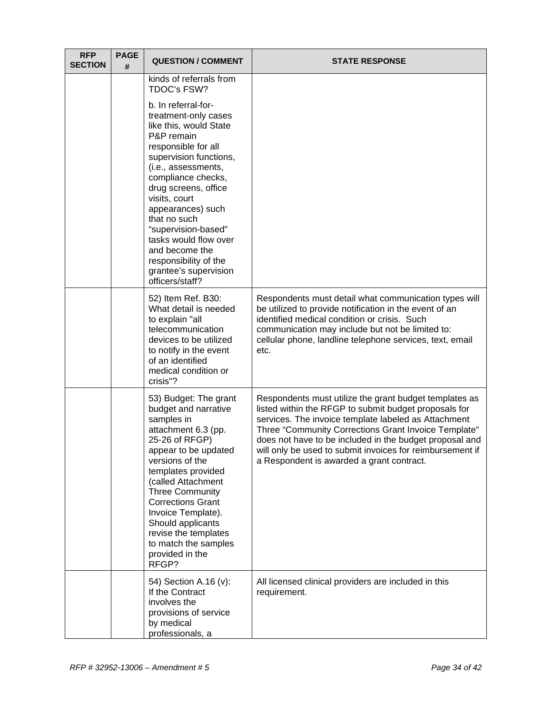| <b>RFP</b><br><b>SECTION</b> | <b>PAGE</b><br># | <b>QUESTION / COMMENT</b>                                                                                                                                                                                                                                                                                                                                                                              | <b>STATE RESPONSE</b>                                                                                                                                                                                                                                                                                                                                                                                |
|------------------------------|------------------|--------------------------------------------------------------------------------------------------------------------------------------------------------------------------------------------------------------------------------------------------------------------------------------------------------------------------------------------------------------------------------------------------------|------------------------------------------------------------------------------------------------------------------------------------------------------------------------------------------------------------------------------------------------------------------------------------------------------------------------------------------------------------------------------------------------------|
|                              |                  | kinds of referrals from<br>TDOC's FSW?                                                                                                                                                                                                                                                                                                                                                                 |                                                                                                                                                                                                                                                                                                                                                                                                      |
|                              |                  | b. In referral-for-<br>treatment-only cases<br>like this, would State<br>P&P remain<br>responsible for all<br>supervision functions,<br>(i.e., assessments,<br>compliance checks,<br>drug screens, office<br>visits, court<br>appearances) such<br>that no such<br>"supervision-based"<br>tasks would flow over<br>and become the<br>responsibility of the<br>grantee's supervision<br>officers/staff? |                                                                                                                                                                                                                                                                                                                                                                                                      |
|                              |                  | 52) Item Ref. B30:<br>What detail is needed<br>to explain "all<br>telecommunication<br>devices to be utilized<br>to notify in the event<br>of an identified<br>medical condition or<br>crisis"?                                                                                                                                                                                                        | Respondents must detail what communication types will<br>be utilized to provide notification in the event of an<br>identified medical condition or crisis. Such<br>communication may include but not be limited to:<br>cellular phone, landline telephone services, text, email<br>etc.                                                                                                              |
|                              |                  | 53) Budget: The grant<br>budget and narrative<br>samples in<br>attachment 6.3 (pp.<br>25-26 of RFGP)<br>appear to be updated<br>versions of the<br>templates provided<br>(called Attachment<br><b>Three Community</b><br><b>Corrections Grant</b><br>Invoice Template).<br>Should applicants<br>revise the templates<br>to match the samples<br>provided in the<br>RFGP?                               | Respondents must utilize the grant budget templates as<br>listed within the RFGP to submit budget proposals for<br>services. The invoice template labeled as Attachment<br>Three "Community Corrections Grant Invoice Template"<br>does not have to be included in the budget proposal and<br>will only be used to submit invoices for reimbursement if<br>a Respondent is awarded a grant contract. |
|                              |                  | 54) Section A.16 (v):<br>If the Contract<br>involves the<br>provisions of service<br>by medical<br>professionals, a                                                                                                                                                                                                                                                                                    | All licensed clinical providers are included in this<br>requirement.                                                                                                                                                                                                                                                                                                                                 |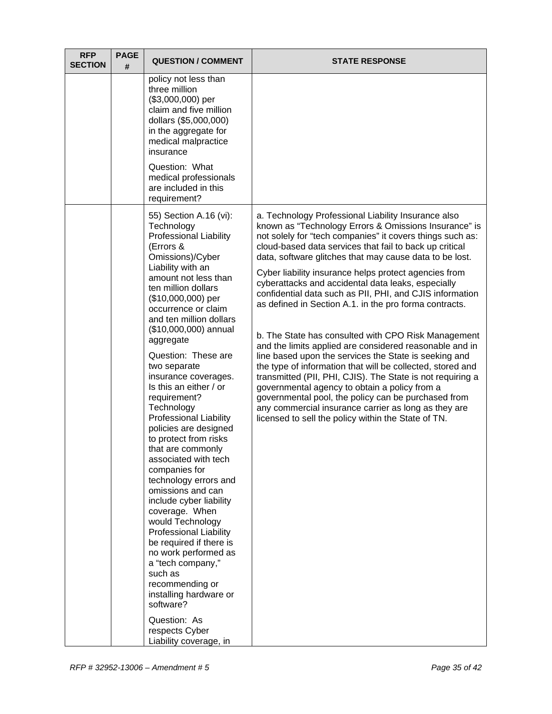| <b>RFP</b><br><b>SECTION</b> | <b>PAGE</b><br># | <b>QUESTION / COMMENT</b>                                                                                                                                                                                                                                                                                                                                                                                                                                                                                                                                                                                                                                                                                                                                                                                                                                                                                                 | <b>STATE RESPONSE</b>                                                                                                                                                                                                                                                                                                                                                                                                                                                                                                                                                                                                                                                                                                                                                                                                                                                                                                                                                                                                                                              |
|------------------------------|------------------|---------------------------------------------------------------------------------------------------------------------------------------------------------------------------------------------------------------------------------------------------------------------------------------------------------------------------------------------------------------------------------------------------------------------------------------------------------------------------------------------------------------------------------------------------------------------------------------------------------------------------------------------------------------------------------------------------------------------------------------------------------------------------------------------------------------------------------------------------------------------------------------------------------------------------|--------------------------------------------------------------------------------------------------------------------------------------------------------------------------------------------------------------------------------------------------------------------------------------------------------------------------------------------------------------------------------------------------------------------------------------------------------------------------------------------------------------------------------------------------------------------------------------------------------------------------------------------------------------------------------------------------------------------------------------------------------------------------------------------------------------------------------------------------------------------------------------------------------------------------------------------------------------------------------------------------------------------------------------------------------------------|
|                              |                  | policy not less than<br>three million<br>(\$3,000,000) per<br>claim and five million<br>dollars (\$5,000,000)<br>in the aggregate for<br>medical malpractice<br>insurance                                                                                                                                                                                                                                                                                                                                                                                                                                                                                                                                                                                                                                                                                                                                                 |                                                                                                                                                                                                                                                                                                                                                                                                                                                                                                                                                                                                                                                                                                                                                                                                                                                                                                                                                                                                                                                                    |
|                              |                  | Question: What<br>medical professionals<br>are included in this<br>requirement?                                                                                                                                                                                                                                                                                                                                                                                                                                                                                                                                                                                                                                                                                                                                                                                                                                           |                                                                                                                                                                                                                                                                                                                                                                                                                                                                                                                                                                                                                                                                                                                                                                                                                                                                                                                                                                                                                                                                    |
|                              |                  | 55) Section A.16 (vi):<br>Technology<br><b>Professional Liability</b><br>(Errors &<br>Omissions)/Cyber<br>Liability with an<br>amount not less than<br>ten million dollars<br>(\$10,000,000) per<br>occurrence or claim<br>and ten million dollars<br>(\$10,000,000) annual<br>aggregate<br>Question: These are<br>two separate<br>insurance coverages.<br>Is this an either / or<br>requirement?<br>Technology<br><b>Professional Liability</b><br>policies are designed<br>to protect from risks<br>that are commonly<br>associated with tech<br>companies for<br>technology errors and<br>omissions and can<br>include cyber liability<br>coverage. When<br>would Technology<br><b>Professional Liability</b><br>be required if there is<br>no work performed as<br>a "tech company,"<br>such as<br>recommending or<br>installing hardware or<br>software?<br>Question: As<br>respects Cyber<br>Liability coverage, in | a. Technology Professional Liability Insurance also<br>known as "Technology Errors & Omissions Insurance" is<br>not solely for "tech companies" it covers things such as:<br>cloud-based data services that fail to back up critical<br>data, software glitches that may cause data to be lost.<br>Cyber liability insurance helps protect agencies from<br>cyberattacks and accidental data leaks, especially<br>confidential data such as PII, PHI, and CJIS information<br>as defined in Section A.1. in the pro forma contracts.<br>b. The State has consulted with CPO Risk Management<br>and the limits applied are considered reasonable and in<br>line based upon the services the State is seeking and<br>the type of information that will be collected, stored and<br>transmitted (PII, PHI, CJIS). The State is not requiring a<br>governmental agency to obtain a policy from a<br>governmental pool, the policy can be purchased from<br>any commercial insurance carrier as long as they are<br>licensed to sell the policy within the State of TN. |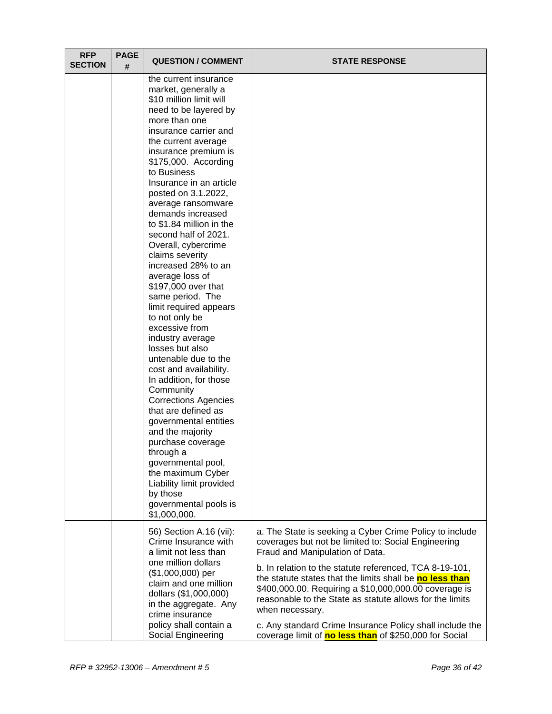| <b>RFP</b><br><b>SECTION</b> | <b>PAGE</b><br># | <b>QUESTION / COMMENT</b>                                                                                                                                                                                                                                                                                                                                                                                                                                                                                                                                                                                                                                                                                                                                                                                                                                                                                                                                                       | <b>STATE RESPONSE</b>                                                                                                                                                                                                                                                                                                                                                                                                                                                                                                                  |
|------------------------------|------------------|---------------------------------------------------------------------------------------------------------------------------------------------------------------------------------------------------------------------------------------------------------------------------------------------------------------------------------------------------------------------------------------------------------------------------------------------------------------------------------------------------------------------------------------------------------------------------------------------------------------------------------------------------------------------------------------------------------------------------------------------------------------------------------------------------------------------------------------------------------------------------------------------------------------------------------------------------------------------------------|----------------------------------------------------------------------------------------------------------------------------------------------------------------------------------------------------------------------------------------------------------------------------------------------------------------------------------------------------------------------------------------------------------------------------------------------------------------------------------------------------------------------------------------|
|                              |                  | the current insurance<br>market, generally a<br>\$10 million limit will<br>need to be layered by<br>more than one<br>insurance carrier and<br>the current average<br>insurance premium is<br>\$175,000. According<br>to Business<br>Insurance in an article<br>posted on 3.1.2022,<br>average ransomware<br>demands increased<br>to \$1.84 million in the<br>second half of 2021.<br>Overall, cybercrime<br>claims severity<br>increased 28% to an<br>average loss of<br>\$197,000 over that<br>same period. The<br>limit required appears<br>to not only be<br>excessive from<br>industry average<br>losses but also<br>untenable due to the<br>cost and availability.<br>In addition, for those<br>Community<br><b>Corrections Agencies</b><br>that are defined as<br>governmental entities<br>and the majority<br>purchase coverage<br>through a<br>governmental pool,<br>the maximum Cyber<br>Liability limit provided<br>by those<br>governmental pools is<br>\$1,000,000. |                                                                                                                                                                                                                                                                                                                                                                                                                                                                                                                                        |
|                              |                  | 56) Section A.16 (vii):<br>Crime Insurance with<br>a limit not less than<br>one million dollars<br>(\$1,000,000) per<br>claim and one million<br>dollars (\$1,000,000)<br>in the aggregate. Any<br>crime insurance<br>policy shall contain a<br>Social Engineering                                                                                                                                                                                                                                                                                                                                                                                                                                                                                                                                                                                                                                                                                                              | a. The State is seeking a Cyber Crime Policy to include<br>coverages but not be limited to: Social Engineering<br>Fraud and Manipulation of Data.<br>b. In relation to the statute referenced, TCA 8-19-101,<br>the statute states that the limits shall be no less than<br>\$400,000.00. Requiring a \$10,000,000.00 coverage is<br>reasonable to the State as statute allows for the limits<br>when necessary.<br>c. Any standard Crime Insurance Policy shall include the<br>coverage limit of no less than of \$250,000 for Social |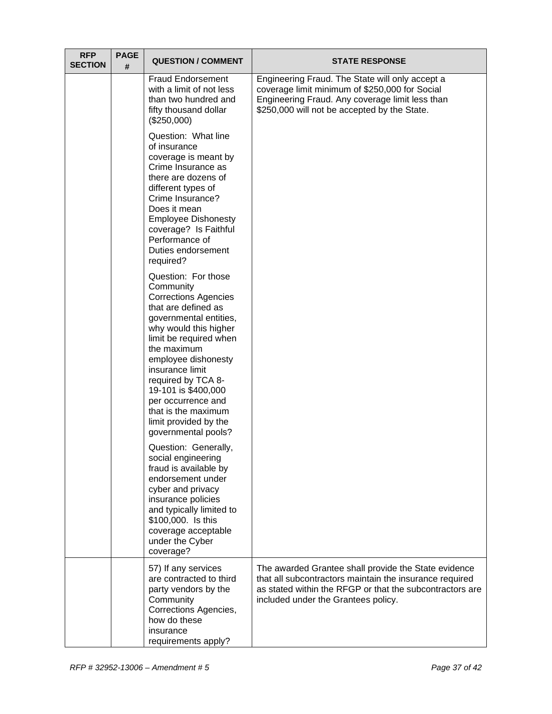| <b>RFP</b><br><b>SECTION</b> | <b>PAGE</b><br># | <b>QUESTION / COMMENT</b>                                                                                                                                                                                                                                                                                                                                              | <b>STATE RESPONSE</b>                                                                                                                                                                                              |
|------------------------------|------------------|------------------------------------------------------------------------------------------------------------------------------------------------------------------------------------------------------------------------------------------------------------------------------------------------------------------------------------------------------------------------|--------------------------------------------------------------------------------------------------------------------------------------------------------------------------------------------------------------------|
|                              |                  | <b>Fraud Endorsement</b><br>with a limit of not less<br>than two hundred and<br>fifty thousand dollar<br>(\$250,000)                                                                                                                                                                                                                                                   | Engineering Fraud. The State will only accept a<br>coverage limit minimum of \$250,000 for Social<br>Engineering Fraud. Any coverage limit less than<br>\$250,000 will not be accepted by the State.               |
|                              |                  | Question: What line<br>of insurance<br>coverage is meant by<br>Crime Insurance as<br>there are dozens of<br>different types of<br>Crime Insurance?<br>Does it mean<br><b>Employee Dishonesty</b><br>coverage? Is Faithful<br>Performance of<br>Duties endorsement<br>required?                                                                                         |                                                                                                                                                                                                                    |
|                              |                  | Question: For those<br>Community<br><b>Corrections Agencies</b><br>that are defined as<br>governmental entities,<br>why would this higher<br>limit be required when<br>the maximum<br>employee dishonesty<br>insurance limit<br>required by TCA 8-<br>19-101 is \$400,000<br>per occurrence and<br>that is the maximum<br>limit provided by the<br>governmental pools? |                                                                                                                                                                                                                    |
|                              |                  | Question: Generally,<br>social engineering<br>fraud is available by<br>endorsement under<br>cyber and privacy<br>insurance policies<br>and typically limited to<br>\$100,000. Is this<br>coverage acceptable<br>under the Cyber<br>coverage?                                                                                                                           |                                                                                                                                                                                                                    |
|                              |                  | 57) If any services<br>are contracted to third<br>party vendors by the<br>Community<br>Corrections Agencies,<br>how do these<br>insurance<br>requirements apply?                                                                                                                                                                                                       | The awarded Grantee shall provide the State evidence<br>that all subcontractors maintain the insurance required<br>as stated within the RFGP or that the subcontractors are<br>included under the Grantees policy. |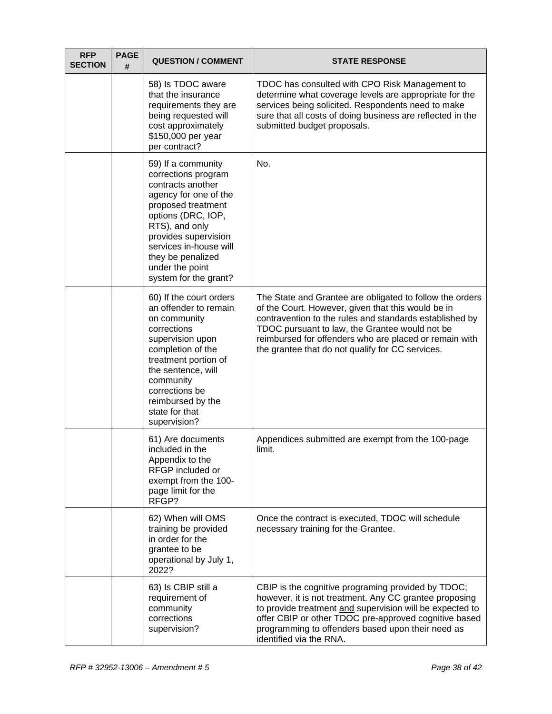| <b>RFP</b><br><b>SECTION</b> | <b>PAGE</b><br># | <b>QUESTION / COMMENT</b>                                                                                                                                                                                                                                                | <b>STATE RESPONSE</b>                                                                                                                                                                                                                                                                                                                     |
|------------------------------|------------------|--------------------------------------------------------------------------------------------------------------------------------------------------------------------------------------------------------------------------------------------------------------------------|-------------------------------------------------------------------------------------------------------------------------------------------------------------------------------------------------------------------------------------------------------------------------------------------------------------------------------------------|
|                              |                  | 58) Is TDOC aware<br>that the insurance<br>requirements they are<br>being requested will<br>cost approximately<br>\$150,000 per year<br>per contract?                                                                                                                    | TDOC has consulted with CPO Risk Management to<br>determine what coverage levels are appropriate for the<br>services being solicited. Respondents need to make<br>sure that all costs of doing business are reflected in the<br>submitted budget proposals.                                                                               |
|                              |                  | 59) If a community<br>corrections program<br>contracts another<br>agency for one of the<br>proposed treatment<br>options (DRC, IOP,<br>RTS), and only<br>provides supervision<br>services in-house will<br>they be penalized<br>under the point<br>system for the grant? | No.                                                                                                                                                                                                                                                                                                                                       |
|                              |                  | 60) If the court orders<br>an offender to remain<br>on community<br>corrections<br>supervision upon<br>completion of the<br>treatment portion of<br>the sentence, will<br>community<br>corrections be<br>reimbursed by the<br>state for that<br>supervision?             | The State and Grantee are obligated to follow the orders<br>of the Court. However, given that this would be in<br>contravention to the rules and standards established by<br>TDOC pursuant to law, the Grantee would not be<br>reimbursed for offenders who are placed or remain with<br>the grantee that do not qualify for CC services. |
|                              |                  | 61) Are documents<br>included in the<br>Appendix to the<br>RFGP included or<br>exempt from the 100-<br>page limit for the<br>RFGP?                                                                                                                                       | Appendices submitted are exempt from the 100-page<br>limit.                                                                                                                                                                                                                                                                               |
|                              |                  | 62) When will OMS<br>training be provided<br>in order for the<br>grantee to be<br>operational by July 1,<br>2022?                                                                                                                                                        | Once the contract is executed, TDOC will schedule<br>necessary training for the Grantee.                                                                                                                                                                                                                                                  |
|                              |                  | 63) Is CBIP still a<br>requirement of<br>community<br>corrections<br>supervision?                                                                                                                                                                                        | CBIP is the cognitive programing provided by TDOC;<br>however, it is not treatment. Any CC grantee proposing<br>to provide treatment and supervision will be expected to<br>offer CBIP or other TDOC pre-approved cognitive based<br>programming to offenders based upon their need as<br>identified via the RNA.                         |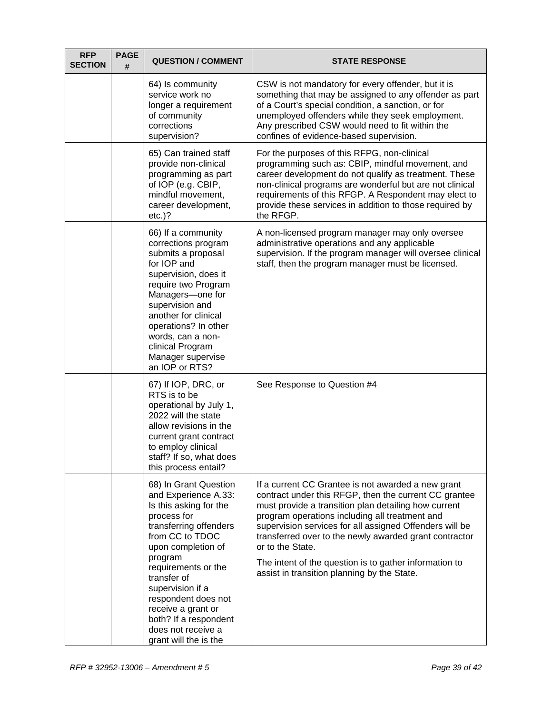| <b>RFP</b><br><b>SECTION</b> | <b>PAGE</b><br># | <b>QUESTION / COMMENT</b>                                                                                                                                                                                                                                                                                                                           | <b>STATE RESPONSE</b>                                                                                                                                                                                                                                                                                                                                                                                                                                                   |
|------------------------------|------------------|-----------------------------------------------------------------------------------------------------------------------------------------------------------------------------------------------------------------------------------------------------------------------------------------------------------------------------------------------------|-------------------------------------------------------------------------------------------------------------------------------------------------------------------------------------------------------------------------------------------------------------------------------------------------------------------------------------------------------------------------------------------------------------------------------------------------------------------------|
|                              |                  | 64) Is community<br>service work no<br>longer a requirement<br>of community<br>corrections<br>supervision?                                                                                                                                                                                                                                          | CSW is not mandatory for every offender, but it is<br>something that may be assigned to any offender as part<br>of a Court's special condition, a sanction, or for<br>unemployed offenders while they seek employment.<br>Any prescribed CSW would need to fit within the<br>confines of evidence-based supervision.                                                                                                                                                    |
|                              |                  | 65) Can trained staff<br>provide non-clinical<br>programming as part<br>of IOP (e.g. CBIP,<br>mindful movement,<br>career development,<br>$etc.$ )?                                                                                                                                                                                                 | For the purposes of this RFPG, non-clinical<br>programming such as: CBIP, mindful movement, and<br>career development do not qualify as treatment. These<br>non-clinical programs are wonderful but are not clinical<br>requirements of this RFGP. A Respondent may elect to<br>provide these services in addition to those required by<br>the RFGP.                                                                                                                    |
|                              |                  | 66) If a community<br>corrections program<br>submits a proposal<br>for IOP and<br>supervision, does it<br>require two Program<br>Managers-one for<br>supervision and<br>another for clinical<br>operations? In other<br>words, can a non-<br>clinical Program<br>Manager supervise<br>an IOP or RTS?                                                | A non-licensed program manager may only oversee<br>administrative operations and any applicable<br>supervision. If the program manager will oversee clinical<br>staff, then the program manager must be licensed.                                                                                                                                                                                                                                                       |
|                              |                  | 67) If IOP, DRC, or<br>RTS is to be<br>operational by July 1,<br>2022 will the state<br>allow revisions in the<br>current grant contract<br>to employ clinical<br>staff? If so, what does<br>this process entail?                                                                                                                                   | See Response to Question #4                                                                                                                                                                                                                                                                                                                                                                                                                                             |
|                              |                  | 68) In Grant Question<br>and Experience A.33:<br>Is this asking for the<br>process for<br>transferring offenders<br>from CC to TDOC<br>upon completion of<br>program<br>requirements or the<br>transfer of<br>supervision if a<br>respondent does not<br>receive a grant or<br>both? If a respondent<br>does not receive a<br>grant will the is the | If a current CC Grantee is not awarded a new grant<br>contract under this RFGP, then the current CC grantee<br>must provide a transition plan detailing how current<br>program operations including all treatment and<br>supervision services for all assigned Offenders will be<br>transferred over to the newly awarded grant contractor<br>or to the State.<br>The intent of the question is to gather information to<br>assist in transition planning by the State. |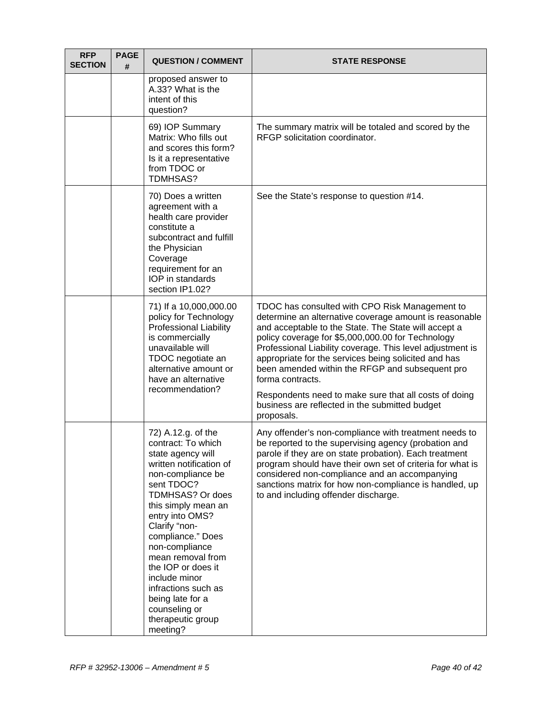| <b>RFP</b><br><b>SECTION</b> | <b>PAGE</b><br># | <b>QUESTION / COMMENT</b>                                                                                                                                                                                                                                                                                                                                                                                  | <b>STATE RESPONSE</b>                                                                                                                                                                                                                                                                                                                                                                                                                                                                                                                      |
|------------------------------|------------------|------------------------------------------------------------------------------------------------------------------------------------------------------------------------------------------------------------------------------------------------------------------------------------------------------------------------------------------------------------------------------------------------------------|--------------------------------------------------------------------------------------------------------------------------------------------------------------------------------------------------------------------------------------------------------------------------------------------------------------------------------------------------------------------------------------------------------------------------------------------------------------------------------------------------------------------------------------------|
|                              |                  | proposed answer to<br>A.33? What is the<br>intent of this<br>question?                                                                                                                                                                                                                                                                                                                                     |                                                                                                                                                                                                                                                                                                                                                                                                                                                                                                                                            |
|                              |                  | 69) IOP Summary<br>Matrix: Who fills out<br>and scores this form?<br>Is it a representative<br>from TDOC or<br>TDMHSAS?                                                                                                                                                                                                                                                                                    | The summary matrix will be totaled and scored by the<br>RFGP solicitation coordinator.                                                                                                                                                                                                                                                                                                                                                                                                                                                     |
|                              |                  | 70) Does a written<br>agreement with a<br>health care provider<br>constitute a<br>subcontract and fulfill<br>the Physician<br>Coverage<br>requirement for an<br>IOP in standards<br>section IP1.02?                                                                                                                                                                                                        | See the State's response to question #14.                                                                                                                                                                                                                                                                                                                                                                                                                                                                                                  |
|                              |                  | 71) If a 10,000,000.00<br>policy for Technology<br><b>Professional Liability</b><br>is commercially<br>unavailable will<br>TDOC negotiate an<br>alternative amount or<br>have an alternative<br>recommendation?                                                                                                                                                                                            | TDOC has consulted with CPO Risk Management to<br>determine an alternative coverage amount is reasonable<br>and acceptable to the State. The State will accept a<br>policy coverage for \$5,000,000.00 for Technology<br>Professional Liability coverage. This level adjustment is<br>appropriate for the services being solicited and has<br>been amended within the RFGP and subsequent pro<br>forma contracts.<br>Respondents need to make sure that all costs of doing<br>business are reflected in the submitted budget<br>proposals. |
|                              |                  | 72) A.12.g. of the<br>contract: To which<br>state agency will<br>written notification of<br>non-compliance be<br>sent TDOC?<br>TDMHSAS? Or does<br>this simply mean an<br>entry into OMS?<br>Clarify "non-<br>compliance." Does<br>non-compliance<br>mean removal from<br>the IOP or does it<br>include minor<br>infractions such as<br>being late for a<br>counseling or<br>therapeutic group<br>meeting? | Any offender's non-compliance with treatment needs to<br>be reported to the supervising agency (probation and<br>parole if they are on state probation). Each treatment<br>program should have their own set of criteria for what is<br>considered non-compliance and an accompanying<br>sanctions matrix for how non-compliance is handled, up<br>to and including offender discharge.                                                                                                                                                    |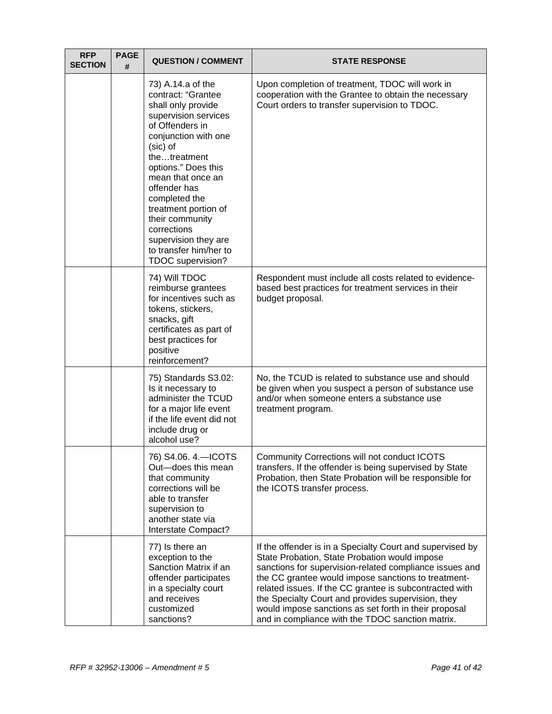| <b>RFP</b><br><b>SECTION</b> | <b>PAGE</b><br># | <b>QUESTION / COMMENT</b>                                                                                                                                                                                                                                                                                                                                                  | <b>STATE RESPONSE</b>                                                                                                                                                                                                                                                                                                                                                                                                                                      |
|------------------------------|------------------|----------------------------------------------------------------------------------------------------------------------------------------------------------------------------------------------------------------------------------------------------------------------------------------------------------------------------------------------------------------------------|------------------------------------------------------------------------------------------------------------------------------------------------------------------------------------------------------------------------------------------------------------------------------------------------------------------------------------------------------------------------------------------------------------------------------------------------------------|
|                              |                  | 73) A.14.a of the<br>contract: "Grantee<br>shall only provide<br>supervision services<br>of Offenders in<br>conjunction with one<br>(sic) of<br>thetreatment<br>options." Does this<br>mean that once an<br>offender has<br>completed the<br>treatment portion of<br>their community<br>corrections<br>supervision they are<br>to transfer him/her to<br>TDOC supervision? | Upon completion of treatment, TDOC will work in<br>cooperation with the Grantee to obtain the necessary<br>Court orders to transfer supervision to TDOC.                                                                                                                                                                                                                                                                                                   |
|                              |                  | 74) Will TDOC<br>reimburse grantees<br>for incentives such as<br>tokens, stickers,<br>snacks, gift<br>certificates as part of<br>best practices for<br>positive<br>reinforcement?                                                                                                                                                                                          | Respondent must include all costs related to evidence-<br>based best practices for treatment services in their<br>budget proposal.                                                                                                                                                                                                                                                                                                                         |
|                              |                  | 75) Standards S3.02:<br>Is it necessary to<br>administer the TCUD<br>for a major life event<br>if the life event did not<br>include drug or<br>alcohol use?                                                                                                                                                                                                                | No, the TCUD is related to substance use and should<br>be given when you suspect a person of substance use<br>and/or when someone enters a substance use<br>treatment program.                                                                                                                                                                                                                                                                             |
|                              |                  | 76) S4.06. 4.- ICOTS<br>Out-does this mean<br>that community<br>corrections will be<br>able to transfer<br>supervision to<br>another state via<br>Interstate Compact?                                                                                                                                                                                                      | Community Corrections will not conduct ICOTS<br>transfers. If the offender is being supervised by State<br>Probation, then State Probation will be responsible for<br>the ICOTS transfer process.                                                                                                                                                                                                                                                          |
|                              |                  | 77) Is there an<br>exception to the<br>Sanction Matrix if an<br>offender participates<br>in a specialty court<br>and receives<br>customized<br>sanctions?                                                                                                                                                                                                                  | If the offender is in a Specialty Court and supervised by<br>State Probation, State Probation would impose<br>sanctions for supervision-related compliance issues and<br>the CC grantee would impose sanctions to treatment-<br>related issues. If the CC grantee is subcontracted with<br>the Specialty Court and provides supervision, they<br>would impose sanctions as set forth in their proposal<br>and in compliance with the TDOC sanction matrix. |